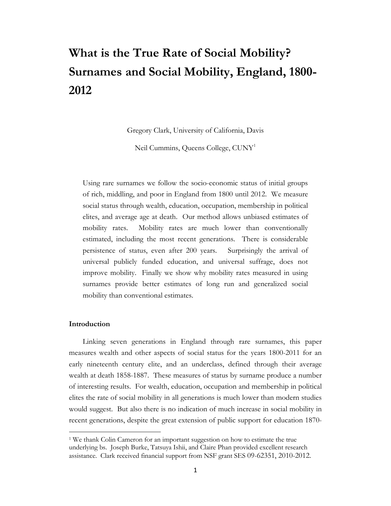# **What is the True Rate of Social Mobility? Surnames and Social Mobility, England, 1800- 2012**

Gregory Clark, University of California, Davis

Neil Cummins, Queens College, CUN[Y1](#page-0-0)

Using rare surnames we follow the socio-economic status of initial groups of rich, middling, and poor in England from 1800 until 2012. We measure social status through wealth, education, occupation, membership in political elites, and average age at death. Our method allows unbiased estimates of mobility rates. Mobility rates are much lower than conventionally estimated, including the most recent generations. There is considerable persistence of status, even after 200 years. Surprisingly the arrival of universal publicly funded education, and universal suffrage, does not improve mobility. Finally we show why mobility rates measured in using surnames provide better estimates of long run and generalized social mobility than conventional estimates.

#### **Introduction**

 $\overline{\phantom{a}}$ 

Linking seven generations in England through rare surnames, this paper measures wealth and other aspects of social status for the years 1800-2011 for an early nineteenth century elite, and an underclass, defined through their average wealth at death 1858-1887. These measures of status by surname produce a number of interesting results. For wealth, education, occupation and membership in political elites the rate of social mobility in all generations is much lower than modern studies would suggest. But also there is no indication of much increase in social mobility in recent generations, despite the great extension of public support for education 1870-

<span id="page-0-0"></span><sup>&</sup>lt;sup>1</sup> We thank Colin Cameron for an important suggestion on how to estimate the true underlying bs. Joseph Burke, Tatsuya Ishii, and Claire Phan provided excellent research assistance. Clark received financial support from NSF grant SES 09-62351, 2010-2012.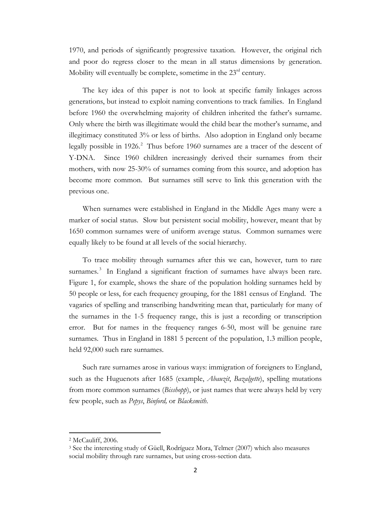1970, and periods of significantly progressive taxation. However, the original rich and poor do regress closer to the mean in all status dimensions by generation. Mobility will eventually be complete, sometime in the  $23<sup>rd</sup>$  century.

The key idea of this paper is not to look at specific family linkages across generations, but instead to exploit naming conventions to track families. In England before 1960 the overwhelming majority of children inherited the father's surname. Only where the birth was illegitimate would the child bear the mother's surname, and illegitimacy constituted 3% or less of births. Also adoption in England only became legally possible in 19[2](#page-1-0)6.<sup>2</sup> Thus before 1960 surnames are a tracer of the descent of Y-DNA. Since 1960 children increasingly derived their surnames from their mothers, with now 25-30% of surnames coming from this source, and adoption has become more common. But surnames still serve to link this generation with the previous one.

When surnames were established in England in the Middle Ages many were a marker of social status. Slow but persistent social mobility, however, meant that by 1650 common surnames were of uniform average status. Common surnames were equally likely to be found at all levels of the social hierarchy.

To trace mobility through surnames after this we can, however, turn to rare surnames.<sup>[3](#page-1-1)</sup> In England a significant fraction of surnames have always been rare. Figure 1, for example, shows the share of the population holding surnames held by 50 people or less, for each frequency grouping, for the 1881 census of England. The vagaries of spelling and transcribing handwriting mean that, particularly for many of the surnames in the 1-5 frequency range, this is just a recording or transcription error. But for names in the frequency ranges 6-50, most will be genuine rare surnames. Thus in England in 1881 5 percent of the population, 1.3 million people, held 92,000 such rare surnames.

Such rare surnames arose in various ways: immigration of foreigners to England, such as the Huguenots after 1685 (example, *Abauzit*, *Bazalgette*), spelling mutations from more common surnames (*Bisshopp*), or just names that were always held by very few people, such as *Pepys*, *Binford,* or *Blacksmith*.

 $\overline{\phantom{a}}$ 

<span id="page-1-0"></span><sup>2</sup> McCauliff, 2006.

<span id="page-1-1"></span><sup>3</sup> See the interesting study of Güell, Rodríguez Mora, Telmer (2007) which also measures social mobility through rare surnames, but using cross-section data.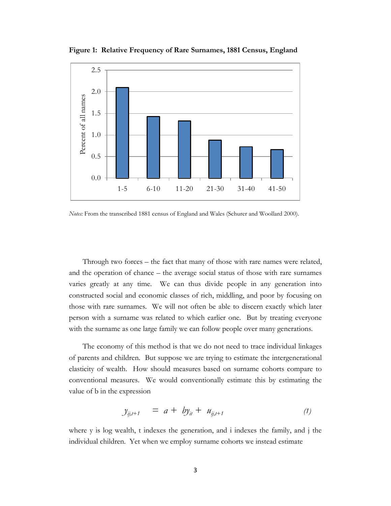

**Figure 1: Relative Frequency of Rare Surnames, 1881 Census, England**

*Notes:* From the transcribed 1881 census of England and Wales (Schurer and Woollard 2000).

Through two forces – the fact that many of those with rare names were related, and the operation of chance – the average social status of those with rare surnames varies greatly at any time. We can thus divide people in any generation into constructed social and economic classes of rich, middling, and poor by focusing on those with rare surnames. We will not often be able to discern exactly which later person with a surname was related to which earlier one. But by treating everyone with the surname as one large family we can follow people over many generations.

The economy of this method is that we do not need to trace individual linkages of parents and children. But suppose we are trying to estimate the intergenerational elasticity of wealth. How should measures based on surname cohorts compare to conventional measures. We would conventionally estimate this by estimating the value of b in the expression

$$
y_{ij,t+1} = a + by_{it} + u_{ij,t+1}
$$
 (1)

where y is log wealth, t indexes the generation, and i indexes the family, and j the individual children. Yet when we employ surname cohorts we instead estimate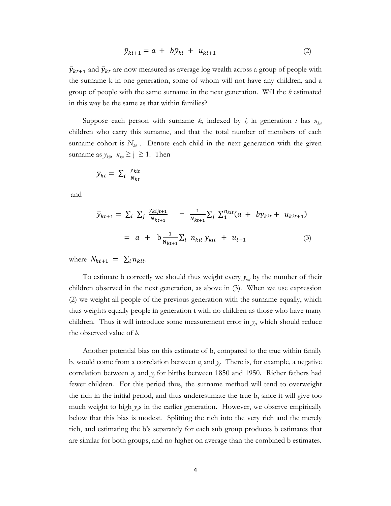$$
\bar{y}_{kt+1} = a + b\bar{y}_{kt} + u_{kt+1} \tag{2}
$$

 $\bar{y}_{kt+1}$  and  $\bar{y}_{kt}$  are now measured as average log wealth across a group of people with the surname k in one generation, some of whom will not have any children, and a group of people with the same surname in the next generation. Will the *b* estimated in this way be the same as that within families?

Suppose each person with surname  $k$ , indexed by  $i$ , in generation  $t$  has  $n_{\text{kin}}$ children who carry this surname, and that the total number of members of each surname cohort is  $N_{kt}$ . Denote each child in the next generation with the given surname as  $y_{\text{kip}}$ ,  $n_{\text{kit}} \ge j \ge 1$ . Then

$$
\bar{y}_{kt} = \sum_{i} \frac{y_{kit}}{N_{kt}}
$$

and

$$
\bar{y}_{kt+1} = \sum_{i} \sum_{j} \frac{y_{kijt+1}}{N_{kt+1}} = \frac{1}{N_{kt+1}} \sum_{j} \sum_{1}^{n_{kit}} (a + by_{kit} + u_{kit+1})
$$
  
=  $a + b \frac{1}{N_{kt+1}} \sum_{i} n_{kit} y_{kit} + u_{t+1}$  (3)

where  $N_{kt+1} = \sum_i n_{kit}$ .

To estimate b correctly we should thus weight every  $y_{ki}$  by the number of their children observed in the next generation, as above in (3). When we use expression (2) we weight all people of the previous generation with the surname equally, which thus weights equally people in generation t with no children as those who have many children. Thus it will introduce some measurement error in  $y<sub>b</sub>$  which should reduce the observed value of *b*.

Another potential bias on this estimate of b, compared to the true within family b, would come from a correlation between  $n_j$  and  $y_j$ . There is, for example, a negative correlation between  $n_j$  and  $y_j$  for births between 1850 and 1950. Richer fathers had fewer children. For this period thus, the surname method will tend to overweight the rich in the initial period, and thus underestimate the true b, since it will give too much weight to high  $y_i$ s in the earlier generation. However, we observe empirically below that this bias is modest. Splitting the rich into the very rich and the merely rich, and estimating the b's separately for each sub group produces b estimates that are similar for both groups, and no higher on average than the combined b estimates.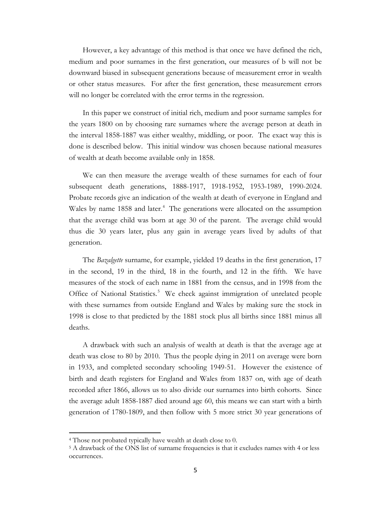However, a key advantage of this method is that once we have defined the rich, medium and poor surnames in the first generation, our measures of b will not be downward biased in subsequent generations because of measurement error in wealth or other status measures. For after the first generation, these measurement errors will no longer be correlated with the error terms in the regression.

In this paper we construct of initial rich, medium and poor surname samples for the years 1800 on by choosing rare surnames where the average person at death in the interval 1858-1887 was either wealthy, middling, or poor. The exact way this is done is described below. This initial window was chosen because national measures of wealth at death become available only in 1858.

We can then measure the average wealth of these surnames for each of four subsequent death generations, 1888-1917, 1918-1952, 1953-1989, 1990-2024. Probate records give an indication of the wealth at death of everyone in England and Wales by name 1858 and later.<sup>[4](#page-4-0)</sup> The generations were allocated on the assumption that the average child was born at age 30 of the parent. The average child would thus die 30 years later, plus any gain in average years lived by adults of that generation.

The *Bazalgette* surname, for example, yielded 19 deaths in the first generation, 17 in the second, 19 in the third, 18 in the fourth, and 12 in the fifth. We have measures of the stock of each name in 1881 from the census, and in 1998 from the Office of National Statistics.<sup>[5](#page-4-1)</sup> We check against immigration of unrelated people with these surnames from outside England and Wales by making sure the stock in 1998 is close to that predicted by the 1881 stock plus all births since 1881 minus all deaths.

A drawback with such an analysis of wealth at death is that the average age at death was close to 80 by 2010. Thus the people dying in 2011 on average were born in 1933, and completed secondary schooling 1949-51. However the existence of birth and death registers for England and Wales from 1837 on, with age of death recorded after 1866, allows us to also divide our surnames into birth cohorts. Since the average adult 1858-1887 died around age 60, this means we can start with a birth generation of 1780-1809, and then follow with 5 more strict 30 year generations of

 $\overline{\phantom{a}}$ 

<span id="page-4-0"></span><sup>4</sup> Those not probated typically have wealth at death close to 0.

<span id="page-4-1"></span><sup>5</sup> A drawback of the ONS list of surname frequencies is that it excludes names with 4 or less occurrences.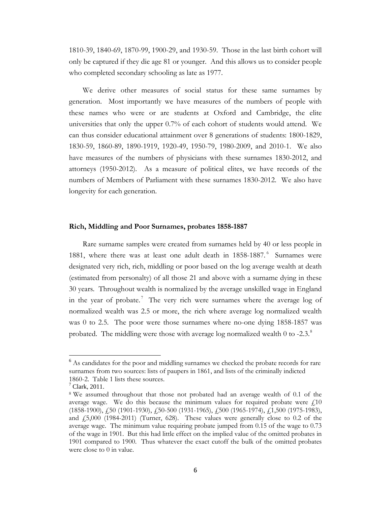1810-39, 1840-69, 1870-99, 1900-29, and 1930-59. Those in the last birth cohort will only be captured if they die age 81 or younger. And this allows us to consider people who completed secondary schooling as late as 1977.

We derive other measures of social status for these same surnames by generation. Most importantly we have measures of the numbers of people with these names who were or are students at Oxford and Cambridge, the elite universities that only the upper 0.7% of each cohort of students would attend. We can thus consider educational attainment over 8 generations of students: 1800-1829, 1830-59, 1860-89, 1890-1919, 1920-49, 1950-79, 1980-2009, and 2010-1. We also have measures of the numbers of physicians with these surnames 1830-2012, and attorneys (1950-2012). As a measure of political elites, we have records of the numbers of Members of Parliament with these surnames 1830-2012. We also have longevity for each generation.

#### **Rich, Middling and Poor Surnames, probates 1858-1887**

Rare surname samples were created from surnames held by 40 or less people in 1881, where there was at least one adult death in 1858-1887.<sup>[6](#page-5-0)</sup> Surnames were designated very rich, rich, middling or poor based on the log average wealth at death (estimated from personalty) of all those 21 and above with a surname dying in these 30 years. Throughout wealth is normalized by the average unskilled wage in England in the year of probate.<sup>[7](#page-5-1)</sup> The very rich were surnames where the average log of normalized wealth was 2.5 or more, the rich where average log normalized wealth was 0 to 2.5. The poor were those surnames where no-one dying 1858-1857 was probated. The middling were those with average log normalized wealth 0 to -2.3.<sup>[8](#page-5-2)</sup>

l

<sup>&</sup>lt;sup>6</sup> As candidates for the poor and middling surnames we checked the probate records for rare surnames from two sources: lists of paupers in 1861, and lists of the criminally indicted 1860-2. Table 1 lists these sources.<br> $7^7$  Clark, 2011.

<span id="page-5-0"></span>

<span id="page-5-2"></span><span id="page-5-1"></span><sup>8</sup> We assumed throughout that those not probated had an average wealth of 0.1 of the average wage. We do this because the minimum values for required probate were  $\ell$ 10 (1858-1900), £50 (1901-1930), £50-500 (1931-1965), £500 (1965-1974), £1,500 (1975-1983), and £5,000 (1984-2011) (Turner, 628). These values were generally close to 0.2 of the average wage. The minimum value requiring probate jumped from 0.15 of the wage to 0.73 of the wage in 1901. But this had little effect on the implied value of the omitted probates in 1901 compared to 1900. Thus whatever the exact cutoff the bulk of the omitted probates were close to 0 in value.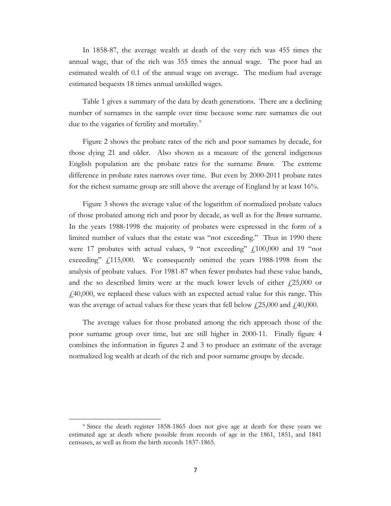In 1858-87, the average wealth at death of the very rich was 455 times the annual wage, that of the rich was 355 times the annual wage. The poor had an estimated wealth of 0.1 of the annual wage on average. The medium had average estimated bequests 18 times annual unskilled wages.

Table 1 gives a summary of the data by death generations. There are a declining number of surnames in the sample over time because some rare surnames die out due to the vagaries of fertility and mortality.<sup>[9](#page-6-0)</sup>

Figure 2 shows the probate rates of the rich and poor surnames by decade, for those dying 21 and older. Also shown as a measure of the general indigenous English population are the probate rates for the surname *Brown.* The extreme difference in probate rates narrows over time. But even by 2000-2011 probate rates for the richest surname group are still above the average of England by at least 16%.

Figure 3 shows the average value of the logarithm of normalized probate values of those probated among rich and poor by decade, as well as for the *Brown* surname. In the years 1988-1998 the majority of probates were expressed in the form of a limited number of values that the estate was "not exceeding." Thus in 1990 there were 17 probates with actual values, 9 "not exceeding"  $f_1100,000$  and 19 "not exceeding"  $f(115,000)$ . We consequently omitted the years 1988-1998 from the analysis of probate values. For 1981-87 when fewer probates had these value bands, and the so described limits were at the much lower levels of either  $\text{\textsterling}25,000$  or  $f_140,000$ , we replaced these values with an expected actual value for this range. This was the average of actual values for these years that fell below  $\frac{1}{25,000}$  and  $\frac{1}{40,000}$ .

The average values for those probated among the rich approach those of the poor surname group over time, but are still higher in 2000-11. Finally figure 4 combines the information in figures 2 and 3 to produce an estimate of the average normalized log wealth at death of the rich and poor surname groups by decade.

 $\overline{\phantom{a}}$ 

<span id="page-6-0"></span><sup>9</sup> Since the death register 1858-1865 does not give age at death for these years we estimated age at death where possible from records of age in the 1861, 1851, and 1841 censuses, as well as from the birth records 1837-1865.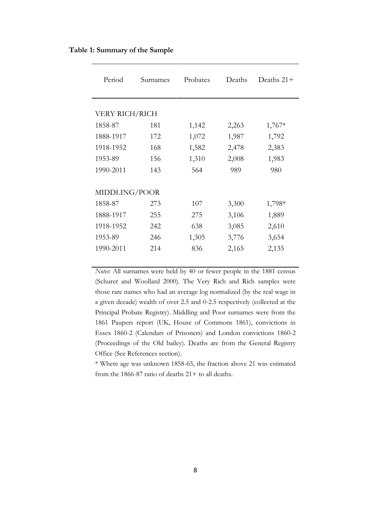| Period         | Surnames | Probates | Deaths | Deaths $21+$ |
|----------------|----------|----------|--------|--------------|
|                |          |          |        |              |
| VERY RICH/RICH |          |          |        |              |
| 1858-87        | 181      | 1,142    | 2,263  | $1,767*$     |
| 1888-1917      | 172      | 1,072    | 1,987  | 1,792        |
| 1918-1952      | 168      | 1,582    | 2,478  | 2,383        |
| 1953-89        | 156      | 1,310    | 2,008  | 1,983        |
| 1990-2011      | 143      | 564      | 989    | 980          |
|                |          |          |        |              |
| MIDDLING/POOR  |          |          |        |              |
| 1858-87        | 273      | 107      | 3,300  | 1,798*       |
| 1888-1917      | 255      | 275      | 3,106  | 1,889        |
| 1918-1952      | 242      | 638      | 3,085  | 2,610        |
| 1953-89        | 246      | 1,305    | 3,776  | 3,654        |
| 1990-2011      | 214      | 836      | 2,165  | 2,135        |
|                |          |          |        |              |

## **Table 1: Summary of the Sample**

*Notes*: All surnames were held by 40 or fewer people in the 1881 census (Schurer and Woollard 2000). The Very Rich and Rich samples were those rare names who had an average log normalized (by the real wage in a given decade) wealth of over 2.5 and 0-2.5 respectively (collected at the Principal Probate Registry). Middling and Poor surnames were from the 1861 Paupers report (UK, House of Commons 1861), convictions in Essex 1860-2 (Calendars of Prisoners) and London convictions 1860-2 (Proceedings of the Old bailey). Deaths are from the General Registry Office (See References section).

\* Where age was unknown 1858-65, the fraction above 21 was estimated from the 1866-87 ratio of deaths  $21+$  to all deaths.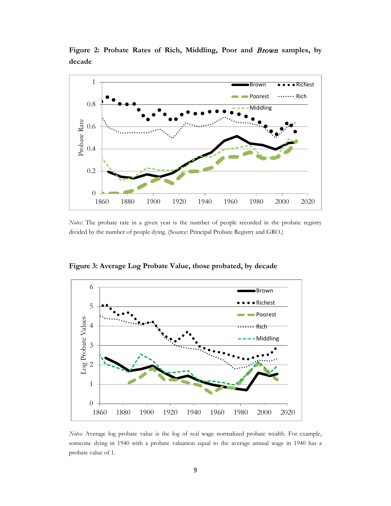

**Figure 2: Probate Rates of Rich, Middling, Poor and** Brown **samples, by decade**

*Notes:* The probate rate in a given year is the number of people recorded in the probate registry divided by the number of people dying. (Source: Principal Probate Registry and GRO.)

6 Brown Richest 5 Poorest Log Probate Values Log Probate Values 4  $\ddot{\cdot}$  Rich Middling3 2 1  $\boldsymbol{0}$ 1860 1880 1900 1920 1940 1960 1980 2000 2020

**Figure 3: Average Log Probate Value, those probated, by decade**

*Notes:* Average log probate value is the log of real wage normalized probate wealth. For example, someone dying in 1940 with a probate valuation equal to the average annual wage in 1940 has a probate value of 1.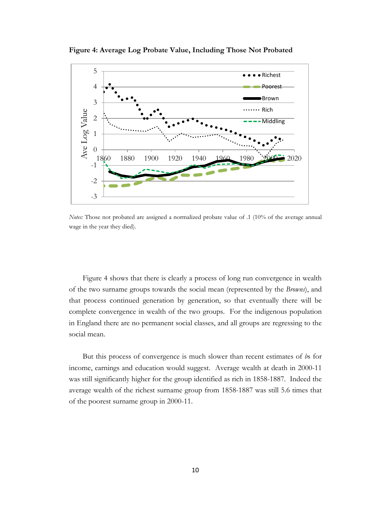

**Figure 4: Average Log Probate Value, Including Those Not Probated**

*Notes:* Those not probated are assigned a normalized probate value of .1 (10% of the average annual wage in the year they died).

Figure 4 shows that there is clearly a process of long run convergence in wealth of the two surname groups towards the social mean (represented by the *Browns*), and that process continued generation by generation, so that eventually there will be complete convergence in wealth of the two groups. For the indigenous population in England there are no permanent social classes, and all groups are regressing to the social mean.

But this process of convergence is much slower than recent estimates of *b*s for income, earnings and education would suggest. Average wealth at death in 2000-11 was still significantly higher for the group identified as rich in 1858-1887. Indeed the average wealth of the richest surname group from 1858-1887 was still 5.6 times that of the poorest surname group in 2000-11.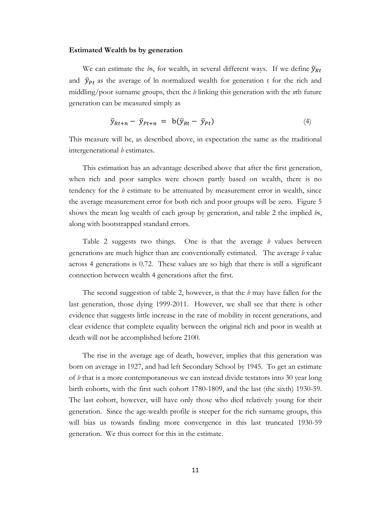#### **Estimated Wealth bs by generation**

We can estimate the *bs*, for wealth, in several different ways. If we define  $\bar{y}_{Rt}$ and  $\bar{y}_{Pt}$  as the average of ln normalized wealth for generation t for the rich and middling/poor surname groups, then the *b* linking this generation with the *n*th future generation can be measured simply as

$$
\bar{y}_{Rt+n} - \bar{y}_{Pt+n} = b(\bar{y}_{Rt} - \bar{y}_{Pt}) \tag{4}
$$

This measure will be, as described above, in expectation the same as the traditional intergenerational *b* estimates.

This estimation has an advantage described above that after the first generation, when rich and poor samples were chosen partly based on wealth, there is no tendency for the *b* estimate to be attenuated by measurement error in wealth, since the average measurement error for both rich and poor groups will be zero. Figure 5 shows the mean log wealth of each group by generation, and table 2 the implied *b*s, along with bootstrapped standard errors.

Table 2 suggests two things. One is that the average *b* values between generations are much higher than are conventionally estimated. The average *b* value across 4 generations is 0.72. These values are so high that there is still a significant connection between wealth 4 generations after the first.

The second suggestion of table 2, however, is that the *b* may have fallen for the last generation, those dying 1999-2011. However, we shall see that there is other evidence that suggests little increase in the rate of mobility in recent generations, and clear evidence that complete equality between the original rich and poor in wealth at death will not be accomplished before 2100.

The rise in the average age of death, however, implies that this generation was born on average in 1927, and had left Secondary School by 1945. To get an estimate of *b* that is a more contemporaneous we can instead divide testators into 30 year long birth cohorts, with the first such cohort 1780-1809, and the last (the sixth) 1930-59. The last cohort, however, will have only those who died relatively young for their generation. Since the age-wealth profile is steeper for the rich surname groups, this will bias us towards finding more convergence in this last truncated 1930-59 generation. We thus correct for this in the estimate.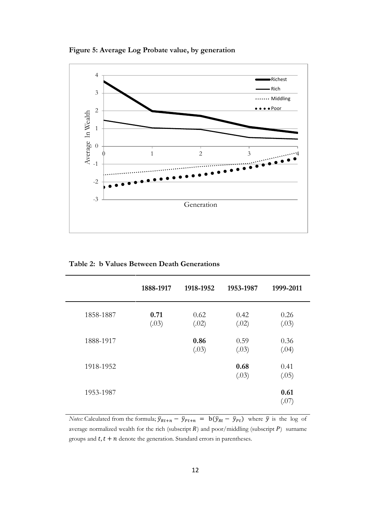**Figure 5: Average Log Probate value, by generation**



**Table 2: b Values Between Death Generations**

|           | 1888-1917     | 1918-1952     | 1953-1987     | 1999-2011     |
|-----------|---------------|---------------|---------------|---------------|
| 1858-1887 | 0.71<br>(.03) | 0.62<br>(.02) | 0.42<br>(.02) | 0.26<br>(.03) |
| 1888-1917 |               | 0.86<br>(.03) | 0.59<br>(.03) | 0.36<br>(.04) |
| 1918-1952 |               |               | 0.68<br>(.03) | 0.41<br>(.05) |
| 1953-1987 |               |               |               | 0.61<br>(.07) |

*Notes:* Calculated from the formula;  $\bar{y}_{Rt+n} - \bar{y}_{Pt+n} = b(\bar{y}_{Rt} - \bar{y}_{Pt})$  where  $\bar{y}$  is the log of average normalized wealth for the rich (subscript  $R$ ) and poor/middling (subscript  $P$ ) surname groups and  $t, t + n$  denote the generation. Standard errors in parentheses.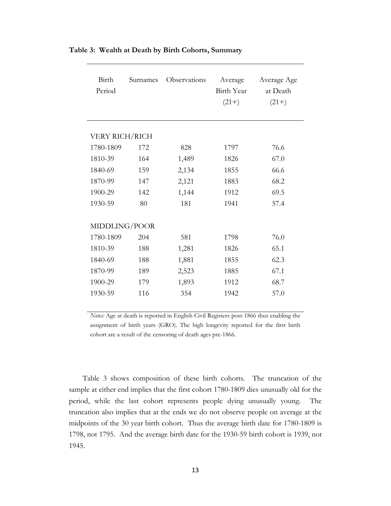| Birth<br>Period | Surnames | Observations | Average<br>Birth Year<br>$(21+)$ | Average Age<br>at Death<br>$(21+)$ |
|-----------------|----------|--------------|----------------------------------|------------------------------------|
| VERY RICH/RICH  |          |              |                                  |                                    |
| 1780-1809       | 172      | 828          | 1797                             | 76.6                               |
| 1810-39         | 164      | 1,489        | 1826                             | 67.0                               |
| 1840-69         | 159      | 2,134        | 1855                             | 66.6                               |
| 1870-99         | 147      | 2,121        | 1883                             | 68.2                               |
| 1900-29         | 142      | 1,144        | 1912                             | 69.5                               |
| 1930-59         | 80       | 181          | 1941                             | 57.4                               |
|                 |          |              |                                  |                                    |
| MIDDLING/POOR   |          |              |                                  |                                    |
| 1780-1809       | 204      | 581          | 1798                             | 76.0                               |
| 1810-39         | 188      | 1,281        | 1826                             | 65.1                               |
| 1840-69         | 188      | 1,881        | 1855                             | 62.3                               |
| 1870-99         | 189      | 2,523        | 1885                             | 67.1                               |
| 1900-29         | 179      | 1,893        | 1912                             | 68.7                               |
| 1930-59         | 116      | 354          | 1942                             | 57.0                               |
|                 |          |              |                                  |                                    |

**Table 3: Wealth at Death by Birth Cohorts, Summary**

*Notes:* Age at death is reported in English Civil Registers post-1866 thus enabling the assignment of birth years (GRO). The high longevity reported for the first birth cohort are a result of the censoring of death ages pre-1866.

Table 3 shows composition of these birth cohorts. The truncation of the sample at either end implies that the first cohort 1780-1809 dies unusually old for the period, while the last cohort represents people dying unusually young. The truncation also implies that at the ends we do not observe people on average at the midpoints of the 30 year birth cohort. Thus the average birth date for 1780-1809 is 1798, not 1795. And the average birth date for the 1930-59 birth cohort is 1939, not 1945.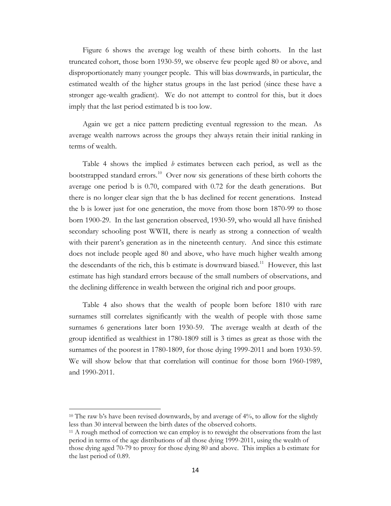Figure 6 shows the average log wealth of these birth cohorts. In the last truncated cohort, those born 1930-59, we observe few people aged 80 or above, and disproportionately many younger people. This will bias downwards, in particular, the estimated wealth of the higher status groups in the last period (since these have a stronger age-wealth gradient). We do not attempt to control for this, but it does imply that the last period estimated b is too low.

Again we get a nice pattern predicting eventual regression to the mean. As average wealth narrows across the groups they always retain their initial ranking in terms of wealth.

Table 4 shows the implied *b* estimates between each period, as well as the bootstrapped standard errors.<sup>10</sup> Over now six generations of these birth cohorts the average one period b is 0.70, compared with 0.72 for the death generations. But there is no longer clear sign that the b has declined for recent generations. Instead the b is lower just for one generation, the move from those born 1870-99 to those born 1900-29. In the last generation observed, 1930-59, who would all have finished secondary schooling post WWII, there is nearly as strong a connection of wealth with their parent's generation as in the nineteenth century. And since this estimate does not include people aged 80 and above, who have much higher wealth among the descendants of the rich, this b estimate is downward biased.<sup>[11](#page-13-1)</sup> However, this last estimate has high standard errors because of the small numbers of observations, and the declining difference in wealth between the original rich and poor groups.

Table 4 also shows that the wealth of people born before 1810 with rare surnames still correlates significantly with the wealth of people with those same surnames 6 generations later born 1930-59. The average wealth at death of the group identified as wealthiest in 1780-1809 still is 3 times as great as those with the surnames of the poorest in 1780-1809, for those dying 1999-2011 and born 1930-59. We will show below that that correlation will continue for those born 1960-1989, and 1990-2011.

 $\overline{\phantom{a}}$ 

<span id="page-13-0"></span><sup>&</sup>lt;sup>10</sup> The raw b's have been revised downwards, by and average of 4%, to allow for the slightly less than 30 interval between the birth dates of the observed cohorts.

<span id="page-13-1"></span><sup>&</sup>lt;sup>11</sup> A rough method of correction we can employ is to reweight the observations from the last period in terms of the age distributions of all those dying 1999-2011, using the wealth of those dying aged 70-79 to proxy for those dying 80 and above. This implies a b estimate for the last period of 0.89.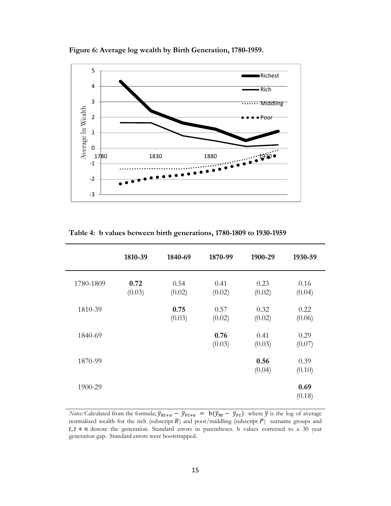**Figure 6: Average log wealth by Birth Generation, 1780-1959.**



**Table 4: b values between birth generations, 1780-1809 to 1930-1959**

|           | 1810-39        | 1840-69        | 1870-99        | 1900-29        | 1930-59        |
|-----------|----------------|----------------|----------------|----------------|----------------|
| 1780-1809 | 0.72<br>(0.03) | 0.54<br>(0.02) | 0.41<br>(0.02) | 0.23<br>(0.02) | 0.16<br>(0.04) |
| 1810-39   |                | 0.75<br>(0.03) | 0.57<br>(0.02) | 0.32<br>(0.02) | 0.22<br>(0.06) |
| 1840-69   |                |                | 0.76<br>(0.03) | 0.41<br>(0.03) | 0.29<br>(0.07) |
| 1870-99   |                |                |                | 0.56<br>(0.04) | 0.39<br>(0.10) |
| 1900-29   |                |                |                |                | 0.69<br>(0.18) |

*Notes:* Calculated from the formula;  $\bar{y}_{Rt+n} - \bar{y}_{Pt+n} = b(\bar{y}_{Rt} - \bar{y}_{Pt})$  where  $\bar{y}$  is the log of average normalized wealth for the rich (subscript  $R$ ) and poor/middling (subscript  $P$ ) surname groups and  $t, t + n$  denote the generation. Standard errors in parentheses. b values corrected to a 30 year generation gap. Standard errors were bootstrapped.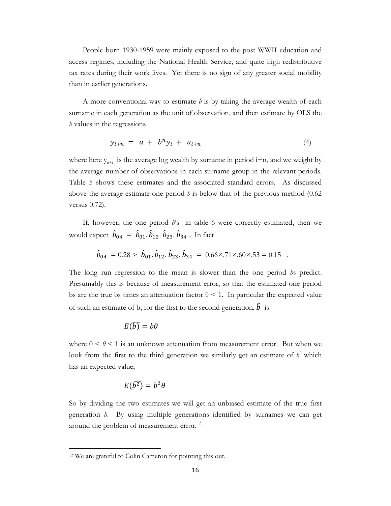People born 1930-1959 were mainly exposed to the post WWII education and access regimes, including the National Health Service, and quite high redistributive tax rates during their work lives. Yet there is no sign of any greater social mobility than in earlier generations.

A more conventional way to estimate *b* is by taking the average wealth of each surname in each generation as the unit of observation, and then estimate by OLS the *b* values in the regressions

$$
y_{i+n} = a + b^n y_i + u_{i+n} \tag{4}
$$

where here  $y_{n+i}$  is the average log wealth by surname in period i+n, and we weight by the average number of observations in each surname group in the relevant periods. Table 5 shows these estimates and the associated standard errors. As discussed above the average estimate one period  $\dot{\theta}$  is below that of the previous method (0.62) versus 0.72).

If, however, the one period *b*'s in table 6 were correctly estimated, then we would expect  $\hat{b}_{04} = \hat{b}_{01}$ .  $\hat{b}_{12}$ .  $\hat{b}_{23}$ .  $\hat{b}_{34}$  . In fact

$$
\hat{b}_{04} = 0.28 > \hat{b}_{01} \cdot \hat{b}_{12} \cdot \hat{b}_{23} \cdot \hat{b}_{34} = 0.66 \times 0.71 \times 0.6 \times 0.53 = 0.15
$$

The long run regression to the mean is slower than the one period *b*s predict. Presumably this is because of measurement error, so that the estimated one period bs are the true bs times an attenuation factor  $\theta$  < 1. In particular the expected value of such an estimate of b, for the first to the second generation,  $\hat{b}$  is

$$
E(\bar{b})=b\theta
$$

where  $0 \le \theta \le 1$  is an unknown attenuation from measurement error. But when we look from the first to the third generation we similarly get an estimate of  $b^2$  which has an expected value,

$$
E(\widehat{b^2})=b^2\theta
$$

So by dividing the two estimates we will get an unbiased estimate of the true first generation *b*. By using multiple generations identified by surnames we can get around the problem of measurement error.<sup>[12](#page-15-0)</sup>

 $\overline{\phantom{a}}$ 

<span id="page-15-0"></span><sup>12</sup> We are grateful to Colin Cameron for pointing this out.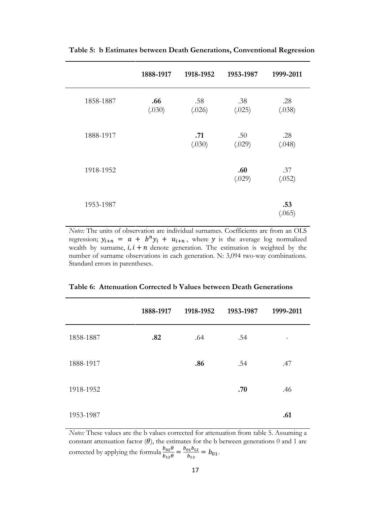|           | 1888-1917     | 1918-1952     | 1953-1987     | 1999-2011     |
|-----------|---------------|---------------|---------------|---------------|
| 1858-1887 | .66<br>(.030) | .58<br>(.026) | .38<br>(.025) | .28<br>(.038) |
| 1888-1917 |               | .71<br>(.030) | .50<br>(.029) | .28<br>(.048) |
| 1918-1952 |               |               | .60<br>(.029) | .37<br>(.052) |
| 1953-1987 |               |               |               | .53<br>(.065) |

**Table 5: b Estimates between Death Generations, Conventional Regression**

*Notes:* The units of observation are individual surnames. Coefficients are from an OLS regression;  $y_{i+n} = a + b^n y_i + u_{i+n}$ , where y is the average log normalized wealth by surname,  $i, i + n$  denote generation. The estimation is weighted by the number of surname observations in each generation. N: 3,094 two-way combinations. Standard errors in parentheses.

|           | 1888-1917 | 1918-1952 | 1953-1987 | 1999-2011 |
|-----------|-----------|-----------|-----------|-----------|
| 1858-1887 | .82       | .64       | .54       |           |
| 1888-1917 |           | .86       | .54       | .47       |
| 1918-1952 |           |           | .70       | .46       |
| 1953-1987 |           |           |           | .61       |

**Table 6: Attenuation Corrected b Values between Death Generations**

*Notes:* These values are the b values corrected for attenuation from table 5. Assuming a constant attenuation factor  $(\theta)$ , the estimates for the b between generations 0 and 1 are corrected by applying the formula  $\frac{b_{02}\theta}{b_{12}\theta} = \frac{b_{01}b_{12}}{b_{12}} = b_{01}$ .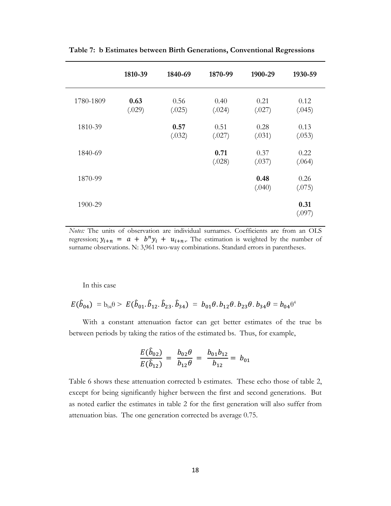|           | 1810-39        | 1840-69        | 1870-99        | 1900-29        | 1930-59        |
|-----------|----------------|----------------|----------------|----------------|----------------|
| 1780-1809 | 0.63<br>(.029) | 0.56<br>(.025) | 0.40<br>(.024) | 0.21<br>(.027) | 0.12<br>(.045) |
| 1810-39   |                | 0.57<br>(.032) | 0.51<br>(.027) | 0.28<br>(.031) | 0.13<br>(.053) |
| 1840-69   |                |                | 0.71<br>(.028) | 0.37<br>(.037) | 0.22<br>(.064) |
| 1870-99   |                |                |                | 0.48<br>(.040) | 0.26<br>(.075) |
| 1900-29   |                |                |                |                | 0.31<br>(.097) |

**Table 7: b Estimates between Birth Generations, Conventional Regressions**

*Notes:* The units of observation are individual surnames. Coefficients are from an OLS regression;  $y_{i+n} = a + b^n y_i + u_{i+n}$ . The estimation is weighted by the number of surname observations. N: 3,961 two-way combinations. Standard errors in parentheses.

In this case

$$
E(\hat{b}_{04}) = b_{04}\theta > E(\hat{b}_{01}, \hat{b}_{12}, \hat{b}_{23}, \hat{b}_{34}) = b_{01}\theta, b_{12}\theta, b_{23}\theta, b_{34}\theta = b_{04}\theta^4
$$

With a constant attenuation factor can get better estimates of the true bs between periods by taking the ratios of the estimated bs. Thus, for example,

$$
\frac{E(\hat{b}_{02})}{E(\hat{b}_{12})} = \frac{b_{02}\theta}{b_{12}\theta} = \frac{b_{01}b_{12}}{b_{12}} = b_{01}
$$

Table 6 shows these attenuation corrected b estimates. These echo those of table 2, except for being significantly higher between the first and second generations. But as noted earlier the estimates in table 2 for the first generation will also suffer from attenuation bias. The one generation corrected bs average 0.75.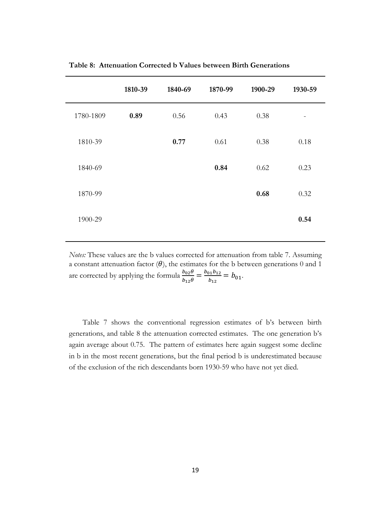|           | 1810-39 | 1840-69 | 1870-99 | 1900-29 | 1930-59 |
|-----------|---------|---------|---------|---------|---------|
| 1780-1809 | 0.89    | 0.56    | 0.43    | 0.38    | -       |
| 1810-39   |         | 0.77    | 0.61    | 0.38    | 0.18    |
| 1840-69   |         |         | 0.84    | 0.62    | 0.23    |
| 1870-99   |         |         |         | 0.68    | 0.32    |
| 1900-29   |         |         |         |         | 0.54    |

**Table 8: Attenuation Corrected b Values between Birth Generations**

*Notes:* These values are the b values corrected for attenuation from table 7. Assuming a constant attenuation factor  $(\theta)$ , the estimates for the b between generations 0 and 1 are corrected by applying the formula  $\frac{b_{02}\theta}{b_{12}\theta} = \frac{b_{01}b_{12}}{b_{12}} = b_{01}.$ 

Table 7 shows the conventional regression estimates of b's between birth generations, and table 8 the attenuation corrected estimates. The one generation b's again average about 0.75. The pattern of estimates here again suggest some decline in b in the most recent generations, but the final period b is underestimated because of the exclusion of the rich descendants born 1930-59 who have not yet died.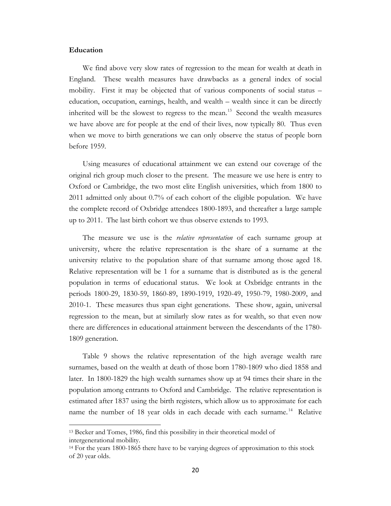## **Education**

 $\overline{\phantom{a}}$ 

We find above very slow rates of regression to the mean for wealth at death in England. These wealth measures have drawbacks as a general index of social mobility. First it may be objected that of various components of social status – education, occupation, earnings, health, and wealth – wealth since it can be directly inherited will be the slowest to regress to the mean.<sup>[13](#page-19-0)</sup> Second the wealth measures we have above are for people at the end of their lives, now typically 80. Thus even when we move to birth generations we can only observe the status of people born before 1959.

Using measures of educational attainment we can extend our coverage of the original rich group much closer to the present. The measure we use here is entry to Oxford or Cambridge, the two most elite English universities, which from 1800 to 2011 admitted only about 0.7% of each cohort of the eligible population. We have the complete record of Oxbridge attendees 1800-1893, and thereafter a large sample up to 2011. The last birth cohort we thus observe extends to 1993.

The measure we use is the *relative representation* of each surname group at university, where the relative representation is the share of a surname at the university relative to the population share of that surname among those aged 18. Relative representation will be 1 for a surname that is distributed as is the general population in terms of educational status. We look at Oxbridge entrants in the periods 1800-29, 1830-59, 1860-89, 1890-1919, 1920-49, 1950-79, 1980-2009, and 2010-1. These measures thus span eight generations. These show, again, universal regression to the mean, but at similarly slow rates as for wealth, so that even now there are differences in educational attainment between the descendants of the 1780- 1809 generation.

Table 9 shows the relative representation of the high average wealth rare surnames, based on the wealth at death of those born 1780-1809 who died 1858 and later. In 1800-1829 the high wealth surnames show up at 94 times their share in the population among entrants to Oxford and Cambridge. The relative representation is estimated after 1837 using the birth registers, which allow us to approximate for each name the number of 18 year olds in each decade with each surname.<sup>[14](#page-20-0)</sup> Relative

<sup>13</sup> Becker and Tomes, 1986, find this possibility in their theoretical model of intergenerational mobility.

<span id="page-19-0"></span><sup>14</sup> For the years 1800-1865 there have to be varying degrees of approximation to this stock of 20 year olds.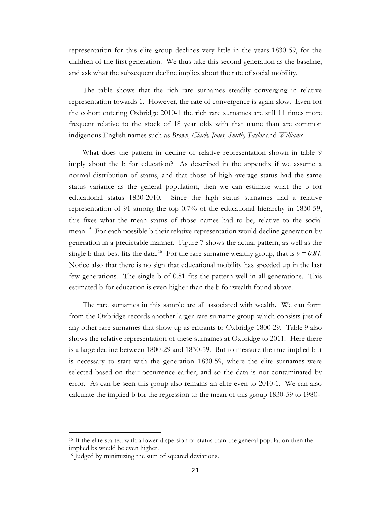representation for this elite group declines very little in the years 1830-59, for the children of the first generation. We thus take this second generation as the baseline, and ask what the subsequent decline implies about the rate of social mobility.

The table shows that the rich rare surnames steadily converging in relative representation towards 1. However, the rate of convergence is again slow. Even for the cohort entering Oxbridge 2010-1 the rich rare surnames are still 11 times more frequent relative to the stock of 18 year olds with that name than are common indigenous English names such as *Brown, Clark, Jones, Smith, Taylor* and *Williams.* 

What does the pattern in decline of relative representation shown in table 9 imply about the b for education? As described in the appendix if we assume a normal distribution of status, and that those of high average status had the same status variance as the general population, then we can estimate what the b for educational status 1830-2010. Since the high status surnames had a relative representation of 91 among the top 0.7% of the educational hierarchy in 1830-59, this fixes what the mean status of those names had to be, relative to the social mean.<sup>15</sup> For each possible b their relative representation would decline generation by generation in a predictable manner. Figure 7 shows the actual pattern, as well as the single b that best fits the data.<sup>[16](#page-20-2)</sup> For the rare surname wealthy group, that is  $b = 0.81$ . Notice also that there is no sign that educational mobility has speeded up in the last few generations. The single b of 0.81 fits the pattern well in all generations. This estimated b for education is even higher than the b for wealth found above.

The rare surnames in this sample are all associated with wealth. We can form from the Oxbridge records another larger rare surname group which consists just of any other rare surnames that show up as entrants to Oxbridge 1800-29. Table 9 also shows the relative representation of these surnames at Oxbridge to 2011. Here there is a large decline between 1800-29 and 1830-59. But to measure the true implied b it is necessary to start with the generation 1830-59, where the elite surnames were selected based on their occurrence earlier, and so the data is not contaminated by error. As can be seen this group also remains an elite even to 2010-1. We can also calculate the implied b for the regression to the mean of this group 1830-59 to 1980-

<span id="page-20-0"></span> $\overline{\phantom{a}}$ 

<span id="page-20-1"></span><sup>&</sup>lt;sup>15</sup> If the elite started with a lower dispersion of status than the general population then the implied bs would be even higher.

<span id="page-20-2"></span><sup>16</sup> Judged by minimizing the sum of squared deviations.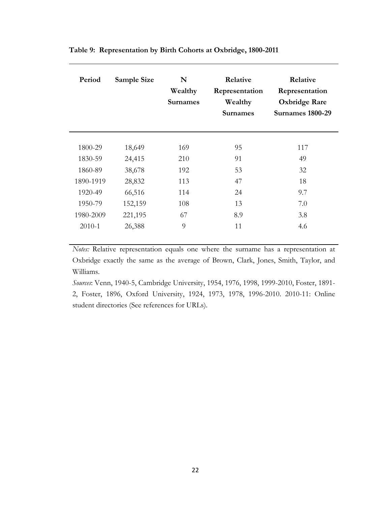| Period     | Sample Size | N<br>Wealthy<br><b>Surnames</b> | Relative<br>Representation<br>Wealthy<br><b>Surnames</b> | Relative<br>Representation<br><b>Oxbridge Rare</b><br><b>Surnames 1800-29</b> |
|------------|-------------|---------------------------------|----------------------------------------------------------|-------------------------------------------------------------------------------|
|            |             |                                 |                                                          |                                                                               |
| 1800-29    | 18,649      | 169                             | 95                                                       | 117                                                                           |
| 1830-59    | 24,415      | 210                             | 91                                                       | 49                                                                            |
| 1860-89    | 38,678      | 192                             | 53                                                       | 32                                                                            |
| 1890-1919  | 28,832      | 113                             | 47                                                       | 18                                                                            |
| 1920-49    | 66,516      | 114                             | 24                                                       | 9.7                                                                           |
| 1950-79    | 152,159     | 108                             | 13                                                       | 7.0                                                                           |
| 1980-2009  | 221,195     | 67                              | 8.9                                                      | 3.8                                                                           |
| $2010 - 1$ | 26,388      | 9                               | 11                                                       | 4.6                                                                           |

**Table 9: Representation by Birth Cohorts at Oxbridge, 1800-2011**

*Notes:* Relative representation equals one where the surname has a representation at Oxbridge exactly the same as the average of Brown, Clark, Jones, Smith, Taylor, and Williams.

*Sources*: Venn, 1940-5, Cambridge University, 1954, 1976, 1998, 1999-2010, Foster, 1891- 2, Foster, 1896, Oxford University, 1924, 1973, 1978, 1996-2010. 2010-11: Online student directories (See references for URLs).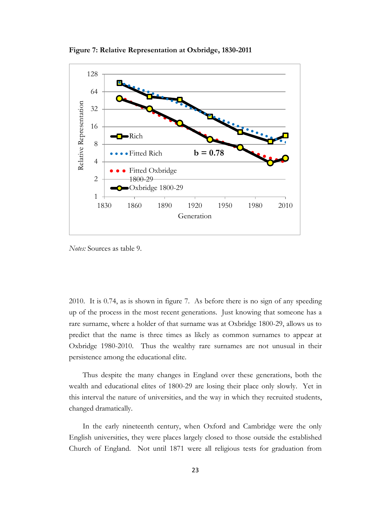

**Figure 7: Relative Representation at Oxbridge, 1830-2011**

*Notes:* Sources as table 9.

2010. It is 0.74, as is shown in figure 7. As before there is no sign of any speeding up of the process in the most recent generations. Just knowing that someone has a rare surname, where a holder of that surname was at Oxbridge 1800-29, allows us to predict that the name is three times as likely as common surnames to appear at Oxbridge 1980-2010. Thus the wealthy rare surnames are not unusual in their persistence among the educational elite.

Thus despite the many changes in England over these generations, both the wealth and educational elites of 1800-29 are losing their place only slowly. Yet in this interval the nature of universities, and the way in which they recruited students, changed dramatically.

In the early nineteenth century, when Oxford and Cambridge were the only English universities, they were places largely closed to those outside the established Church of England. Not until 1871 were all religious tests for graduation from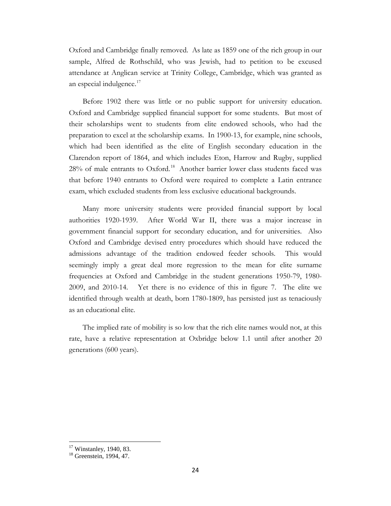Oxford and Cambridge finally removed. As late as 1859 one of the rich group in our sample, Alfred de Rothschild, who was Jewish, had to petition to be excused attendance at Anglican service at Trinity College, Cambridge, which was granted as an especial indulgence.<sup>[17](#page-23-0)</sup>

Before 1902 there was little or no public support for university education. Oxford and Cambridge supplied financial support for some students. But most of their scholarships went to students from elite endowed schools, who had the preparation to excel at the scholarship exams. In 1900-13, for example, nine schools, which had been identified as the elite of English secondary education in the Clarendon report of 1864, and which includes Eton, Harrow and Rugby, supplied 28% of male entrants to Oxford.<sup>18</sup> Another barrier lower class students faced was that before 1940 entrants to Oxford were required to complete a Latin entrance exam, which excluded students from less exclusive educational backgrounds.

Many more university students were provided financial support by local authorities 1920-1939. After World War II, there was a major increase in government financial support for secondary education, and for universities. Also Oxford and Cambridge devised entry procedures which should have reduced the admissions advantage of the tradition endowed feeder schools. This would seemingly imply a great deal more regression to the mean for elite surname frequencies at Oxford and Cambridge in the student generations 1950-79, 1980- 2009, and 2010-14. Yet there is no evidence of this in figure 7. The elite we identified through wealth at death, born 1780-1809, has persisted just as tenaciously as an educational elite.

The implied rate of mobility is so low that the rich elite names would not, at this rate, have a relative representation at Oxbridge below 1.1 until after another 20 generations (600 years).

<span id="page-23-1"></span><span id="page-23-0"></span>

 $17$  Winstanley, 1940, 83.<br> $18$  Greenstein, 1994, 47.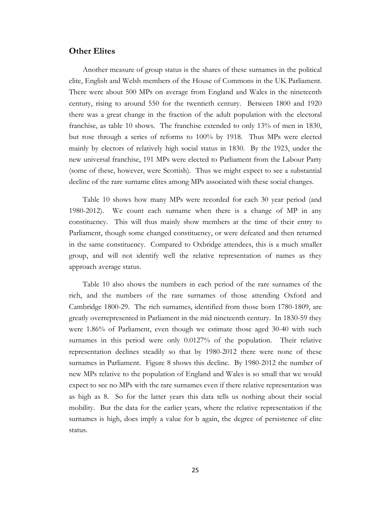# **Other Elites**

Another measure of group status is the shares of these surnames in the political elite, English and Welsh members of the House of Commons in the UK Parliament. There were about 500 MPs on average from England and Wales in the nineteenth century, rising to around 550 for the twentieth century. Between 1800 and 1920 there was a great change in the fraction of the adult population with the electoral franchise, as table 10 shows. The franchise extended to only 13% of men in 1830, but rose through a series of reforms to 100% by 1918. Thus MPs were elected mainly by electors of relatively high social status in 1830. By the 1923, under the new universal franchise, 191 MPs were elected to Parliament from the Labour Party (some of these, however, were Scottish). Thus we might expect to see a substantial decline of the rare surname elites among MPs associated with these social changes.

Table 10 shows how many MPs were recorded for each 30 year period (and 1980-2012). We count each surname when there is a change of MP in any constituency. This will thus mainly show members at the time of their entry to Parliament, though some changed constituency, or were defeated and then returned in the same constituency. Compared to Oxbridge attendees, this is a much smaller group, and will not identify well the relative representation of names as they approach average status.

Table 10 also shows the numbers in each period of the rare surnames of the rich, and the numbers of the rare surnames of those attending Oxford and Cambridge 1800-29. The rich surnames, identified from those born 1780-1809, are greatly overrepresented in Parliament in the mid nineteenth century. In 1830-59 they were 1.86% of Parliament, even though we estimate those aged 30-40 with such surnames in this period were only 0.0127% of the population. Their relative representation declines steadily so that by 1980-2012 there were none of these surnames in Parliament. Figure 8 shows this decline. By 1980-2012 the number of new MPs relative to the population of England and Wales is so small that we would expect to see no MPs with the rare surnames even if there relative representation was as high as 8. So for the latter years this data tells us nothing about their social mobility. But the data for the earlier years, where the relative representation if the surnames is high, does imply a value for b again, the degree of persistence of elite status.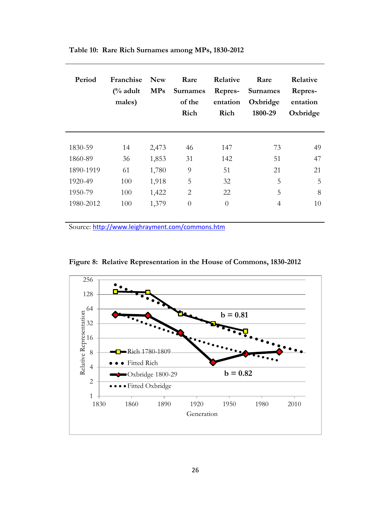| Period    | Franchise<br>$\frac{6}{6}$ adult<br>males) | <b>New</b><br><b>MPs</b> | Rare<br><b>Surnames</b><br>of the<br>Rich | Relative<br>Repres-<br>entation<br>Rich | Rare<br><b>Surnames</b><br>Oxbridge<br>1800-29 | Relative<br>Repres-<br>entation<br>Oxbridge |
|-----------|--------------------------------------------|--------------------------|-------------------------------------------|-----------------------------------------|------------------------------------------------|---------------------------------------------|
|           |                                            |                          |                                           |                                         |                                                |                                             |
| 1830-59   | 14                                         | 2,473                    | 46                                        | 147                                     | 73                                             | 49                                          |
| 1860-89   | 36                                         | 1,853                    | 31                                        | 142                                     | 51                                             | 47                                          |
| 1890-1919 | 61                                         | 1,780                    | 9                                         | 51                                      | 21                                             | 21                                          |
| 1920-49   | 100                                        | 1,918                    | 5                                         | 32                                      | 5                                              | 5                                           |
| 1950-79   | 100                                        | 1,422                    | 2                                         | 22                                      | 5                                              | 8                                           |
| 1980-2012 | 100                                        | 1,379                    | $\theta$                                  | $\theta$                                | 4                                              | 10                                          |

**Table 10: Rare Rich Surnames among MPs, 1830-2012**

Source: <http://www.leighrayment.com/commons.htm>



**Figure 8: Relative Representation in the House of Commons, 1830-2012**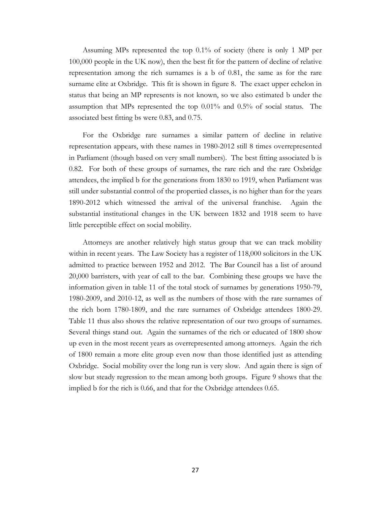Assuming MPs represented the top 0.1% of society (there is only 1 MP per 100,000 people in the UK now), then the best fit for the pattern of decline of relative representation among the rich surnames is a b of 0.81, the same as for the rare surname elite at Oxbridge. This fit is shown in figure 8. The exact upper echelon in status that being an MP represents is not known, so we also estimated b under the assumption that MPs represented the top 0.01% and 0.5% of social status. The associated best fitting bs were 0.83, and 0.75.

For the Oxbridge rare surnames a similar pattern of decline in relative representation appears, with these names in 1980-2012 still 8 times overrepresented in Parliament (though based on very small numbers). The best fitting associated b is 0.82. For both of these groups of surnames, the rare rich and the rare Oxbridge attendees, the implied b for the generations from 1830 to 1919, when Parliament was still under substantial control of the propertied classes, is no higher than for the years 1890-2012 which witnessed the arrival of the universal franchise. Again the substantial institutional changes in the UK between 1832 and 1918 seem to have little perceptible effect on social mobility.

Attorneys are another relatively high status group that we can track mobility within in recent years. The Law Society has a register of 118,000 solicitors in the UK admitted to practice between 1952 and 2012. The Bar Council has a list of around 20,000 barristers, with year of call to the bar. Combining these groups we have the information given in table 11 of the total stock of surnames by generations 1950-79, 1980-2009, and 2010-12, as well as the numbers of those with the rare surnames of the rich born 1780-1809, and the rare surnames of Oxbridge attendees 1800-29. Table 11 thus also shows the relative representation of our two groups of surnames. Several things stand out. Again the surnames of the rich or educated of 1800 show up even in the most recent years as overrepresented among attorneys. Again the rich of 1800 remain a more elite group even now than those identified just as attending Oxbridge. Social mobility over the long run is very slow. And again there is sign of slow but steady regression to the mean among both groups. Figure 9 shows that the implied b for the rich is 0.66, and that for the Oxbridge attendees 0.65.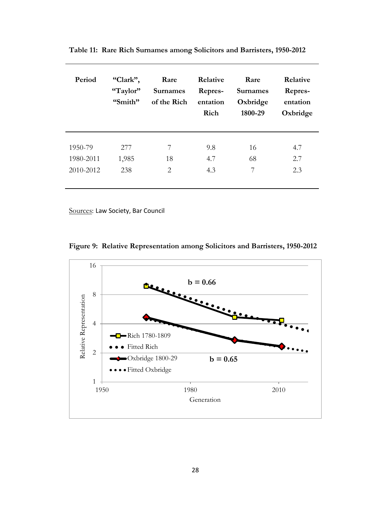| Period    | "Clark",<br>"Taylor"<br>"Smith" | Rare<br><b>Surnames</b><br>of the Rich | Relative<br>Repres-<br>entation<br>Rich | Rare<br><b>Surnames</b><br>Oxbridge<br>1800-29 | Relative<br>Repres-<br>entation<br>Oxbridge |
|-----------|---------------------------------|----------------------------------------|-----------------------------------------|------------------------------------------------|---------------------------------------------|
| 1950-79   | 277                             | 7                                      | 9.8                                     | 16                                             | 4.7                                         |
| 1980-2011 | 1,985                           | 18                                     | 4.7                                     | 68                                             | 2.7                                         |
| 2010-2012 | 238                             | 2                                      | 4.3                                     | 7                                              | 2.3                                         |

**Table 11: Rare Rich Surnames among Solicitors and Barristers, 1950-2012**

Sources: Law Society, Bar Council

**Figure 9: Relative Representation among Solicitors and Barristers, 1950-2012**

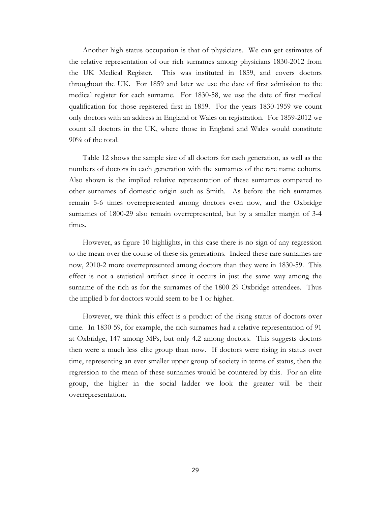Another high status occupation is that of physicians. We can get estimates of the relative representation of our rich surnames among physicians 1830-2012 from the UK Medical Register. This was instituted in 1859, and covers doctors throughout the UK. For 1859 and later we use the date of first admission to the medical register for each surname. For 1830-58, we use the date of first medical qualification for those registered first in 1859. For the years 1830-1959 we count only doctors with an address in England or Wales on registration. For 1859-2012 we count all doctors in the UK, where those in England and Wales would constitute 90% of the total.

Table 12 shows the sample size of all doctors for each generation, as well as the numbers of doctors in each generation with the surnames of the rare name cohorts. Also shown is the implied relative representation of these surnames compared to other surnames of domestic origin such as Smith. As before the rich surnames remain 5-6 times overrepresented among doctors even now, and the Oxbridge surnames of 1800-29 also remain overrepresented, but by a smaller margin of 3-4 times.

However, as figure 10 highlights, in this case there is no sign of any regression to the mean over the course of these six generations. Indeed these rare surnames are now, 2010-2 more overrepresented among doctors than they were in 1830-59. This effect is not a statistical artifact since it occurs in just the same way among the surname of the rich as for the surnames of the 1800-29 Oxbridge attendees. Thus the implied b for doctors would seem to be 1 or higher.

However, we think this effect is a product of the rising status of doctors over time. In 1830-59, for example, the rich surnames had a relative representation of 91 at Oxbridge, 147 among MPs, but only 4.2 among doctors. This suggests doctors then were a much less elite group than now. If doctors were rising in status over time, representing an ever smaller upper group of society in terms of status, then the regression to the mean of these surnames would be countered by this. For an elite group, the higher in the social ladder we look the greater will be their overrepresentation.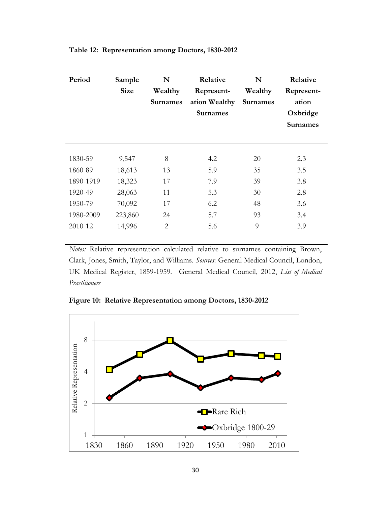| Period    | Sample<br><b>Size</b> | N<br>Wealthy<br><b>Surnames</b> | Relative<br>Represent-<br>ation Wealthy<br><b>Surnames</b> | N<br>Wealthy<br><b>Surnames</b> | Relative<br>Represent-<br>ation<br>Oxbridge<br>Surnames |
|-----------|-----------------------|---------------------------------|------------------------------------------------------------|---------------------------------|---------------------------------------------------------|
| 1830-59   | 9,547                 | 8                               | 4.2                                                        | 20                              | 2.3                                                     |
| 1860-89   | 18,613                | 13                              | 5.9                                                        | 35                              | 3.5                                                     |
| 1890-1919 | 18,323                | 17                              | 7.9                                                        | 39                              | 3.8                                                     |
| 1920-49   | 28,063                | 11                              | 5.3                                                        | 30                              | 2.8                                                     |
| 1950-79   | 70,092                | 17                              | 6.2                                                        | 48                              | 3.6                                                     |
| 1980-2009 | 223,860               | 24                              | 5.7                                                        | 93                              | 3.4                                                     |
| 2010-12   | 14,996                | 2                               | 5.6                                                        | 9                               | 3.9                                                     |

**Table 12: Representation among Doctors, 1830-2012**

*Notes:* Relative representation calculated relative to surnames containing Brown, Clark, Jones, Smith, Taylor, and Williams. *Sources*: General Medical Council, London, UK Medical Register, 1859-1959. General Medical Council, 2012, *List of Medical Practitioners*

**Figure 10: Relative Representation among Doctors, 1830-2012**

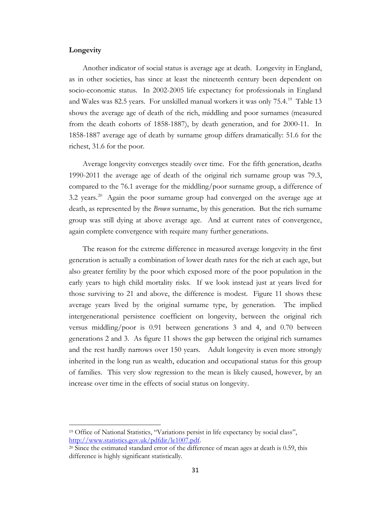# **Longevity**

 $\overline{\phantom{a}}$ 

Another indicator of social status is average age at death. Longevity in England, as in other societies, has since at least the nineteenth century been dependent on socio-economic status. In 2002-2005 life expectancy for professionals in England and Wales was 82.5 years. For unskilled manual workers it was only 75.4.<sup>[19](#page-30-0)</sup> Table 13 shows the average age of death of the rich, middling and poor surnames (measured from the death cohorts of 1858-1887), by death generation, and for 2000-11. In 1858-1887 average age of death by surname group differs dramatically: 51.6 for the richest, 31.6 for the poor.

Average longevity converges steadily over time. For the fifth generation, deaths 1990-2011 the average age of death of the original rich surname group was 79.3, compared to the 76.1 average for the middling/poor surname group, a difference of 3.2 years.<sup>[20](#page-30-1)</sup> Again the poor surname group had converged on the average age at death, as represented by the *Brown* surname, by this generation. But the rich surname group was still dying at above average age. And at current rates of convergence, again complete convergence with require many further generations.

The reason for the extreme difference in measured average longevity in the first generation is actually a combination of lower death rates for the rich at each age, but also greater fertility by the poor which exposed more of the poor population in the early years to high child mortality risks. If we look instead just at years lived for those surviving to 21 and above, the difference is modest. Figure 11 shows these average years lived by the original surname type, by generation. The implied intergenerational persistence coefficient on longevity, between the original rich versus middling/poor is 0.91 between generations 3 and 4, and 0.70 between generations 2 and 3. As figure 11 shows the gap between the original rich surnames and the rest hardly narrows over 150 years. Adult longevity is even more strongly inherited in the long run as wealth, education and occupational status for this group of families. This very slow regression to the mean is likely caused, however, by an increase over time in the effects of social status on longevity.

<span id="page-30-0"></span><sup>19</sup> Office of National Statistics, "Variations persist in life expectancy by social class", [http://www.statistics.gov.uk/pdfdir/le1007.pdf.](http://www.statistics.gov.uk/pdfdir/le1007.pdf)

<span id="page-30-1"></span><sup>20</sup> Since the estimated standard error of the difference of mean ages at death is 0.59, this difference is highly significant statistically.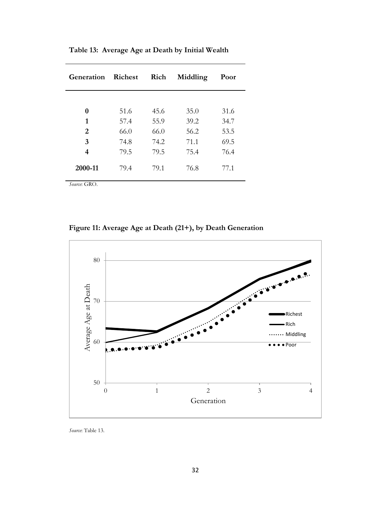| Generation   | <b>Richest</b> | Rich | Middling | Poor |
|--------------|----------------|------|----------|------|
|              |                |      |          |      |
| 0            | 51.6           | 45.6 | 35.0     | 31.6 |
| 1            | 57.4           | 55.9 | 39.2     | 34.7 |
| 2            | 66.0           | 66.0 | 56.2     | 53.5 |
| 3            | 74.8           | 74.2 | 71.1     | 69.5 |
| 4            | 79.5           | 79.5 | 75.4     | 76.4 |
| 2000-11      | 79.4           | 79.1 | 76.8     | 77.1 |
| Source: GRO. |                |      |          |      |

**Table 13: Average Age at Death by Initial Wealth**

**Figure 11: Average Age at Death (21+), by Death Generation**



*Source*: Table 13.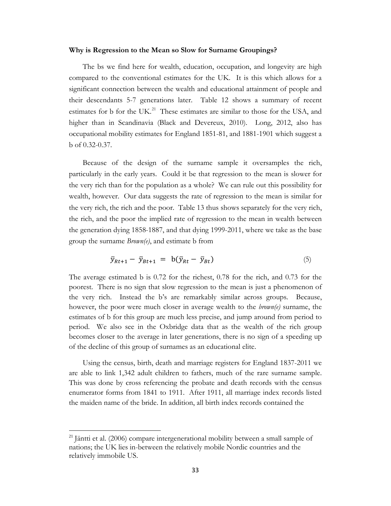#### **Why is Regression to the Mean so Slow for Surname Groupings?**

The bs we find here for wealth, education, occupation, and longevity are high compared to the conventional estimates for the UK. It is this which allows for a significant connection between the wealth and educational attainment of people and their descendants 5-7 generations later. Table 12 shows a summary of recent estimates for b for the UK.<sup>[21](#page-32-0)</sup> These estimates are similar to those for the USA, and higher than in Scandinavia (Black and Devereux, 2010). Long, 2012, also has occupational mobility estimates for England 1851-81, and 1881-1901 which suggest a b of 0.32-0.37.

Because of the design of the surname sample it oversamples the rich, particularly in the early years. Could it be that regression to the mean is slower for the very rich than for the population as a whole? We can rule out this possibility for wealth, however. Our data suggests the rate of regression to the mean is similar for the very rich, the rich and the poor. Table 13 thus shows separately for the very rich, the rich, and the poor the implied rate of regression to the mean in wealth between the generation dying 1858-1887, and that dying 1999-2011, where we take as the base group the surname *Brown(e)*, and estimate b from

$$
\bar{y}_{Rt+1} - \bar{y}_{Bt+1} = \mathbf{b}(\bar{y}_{Rt} - \bar{y}_{Bt}) \tag{5}
$$

The average estimated b is 0.72 for the richest, 0.78 for the rich, and 0.73 for the poorest. There is no sign that slow regression to the mean is just a phenomenon of the very rich. Instead the b's are remarkably similar across groups. Because, however, the poor were much closer in average wealth to the *brown(e)* surname, the estimates of b for this group are much less precise, and jump around from period to period. We also see in the Oxbridge data that as the wealth of the rich group becomes closer to the average in later generations, there is no sign of a speeding up of the decline of this group of surnames as an educational elite.

Using the census, birth, death and marriage registers for England 1837-2011 we are able to link 1,342 adult children to fathers, much of the rare surname sample. This was done by cross referencing the probate and death records with the census enumerator forms from 1841 to 1911. After 1911, all marriage index records listed the maiden name of the bride. In addition, all birth index records contained the

 $\overline{\phantom{a}}$ 

<span id="page-32-0"></span> $21$  Jäntti et al. (2006) compare intergenerational mobility between a small sample of nations; the UK lies in-between the relatively mobile Nordic countries and the relatively immobile US.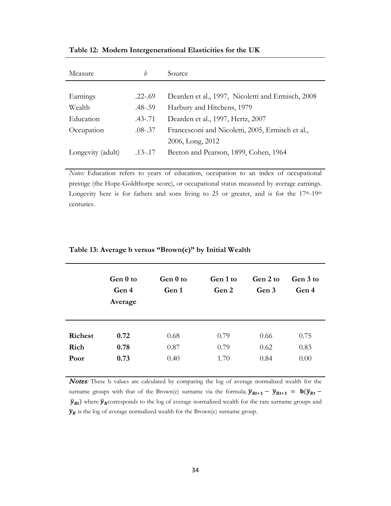| Measure           | h           | Source                                            |
|-------------------|-------------|---------------------------------------------------|
|                   |             |                                                   |
| Earnings          | $.22 - .69$ | Dearden et al., 1997, Nicoletti and Ermisch, 2008 |
| Wealth            | .48-.59     | Harbury and Hitchens, 1979                        |
| Education         | $.43 - .71$ | Dearden et al., 1997, Hertz, 2007                 |
| Occupation        | $.08 - .37$ | Francesconi and Nicoletti, 2005, Ermisch et al.,  |
|                   |             | 2006, Long, 2012                                  |
| Longevity (adult) | $.13 - .17$ | Beeton and Pearson, 1899, Cohen, 1964             |

**Table 12: Modern Intergenerational Elasticities for the UK**

*Notes:* Education refers to years of education, occupation to an index of occupational prestige (the Hope-Goldthorpe score), or occupational status measured by average earnings. Longevity here is for fathers and sons living to 25 or greater, and is for the  $17<sup>th</sup>$ -19<sup>th</sup> centuries.

|                | Gen 0 to<br>Gen 4<br>Average | Gen 0 to<br>Gen 1 | Gen 1 to<br>Gen 2 | Gen 2 to<br>Gen 3 | Gen 3 to<br>Gen 4 |
|----------------|------------------------------|-------------------|-------------------|-------------------|-------------------|
| <b>Richest</b> | 0.72                         | 0.68              | 0.79              | 0.66              | 0.75              |
| Rich           | 0.78                         | 0.87              | 0.79              | 0.62              | 0.83              |
| Poor           | 0.73                         | 0.40              | 1.70              | 0.84              | 0.00              |

#### **Table 13: Average b versus "Brown(e)" by Initial Wealth**

Notes*:* These b values are calculated by comparing the log of average normalized wealth for the surname groups with that of the Brown(e) surname via the formula;  $\bar{y}_{Rt+1} - \bar{y}_{Bt+1} = \mathbf{b}(\bar{y}_{Rt} \bar{y}_{Bt}$ ) where  $\bar{y}_R$  corresponds to the log of average normalized wealth for the rare surname groups and  $\overline{\boldsymbol{y}}_{\boldsymbol{B}}$  is the log of average normalized wealth for the Brown(e) surname group.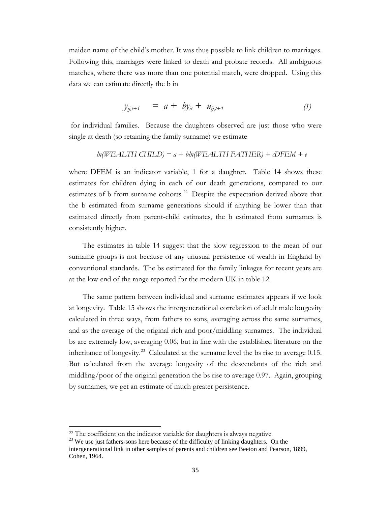maiden name of the child's mother. It was thus possible to link children to marriages. Following this, marriages were linked to death and probate records. All ambiguous matches, where there was more than one potential match, were dropped. Using this data we can estimate directly the b in

$$
y_{ij,t+1} = a + by_{it} + u_{ij,t+1}
$$
 (1)

for individual families. Because the daughters observed are just those who were single at death (so retaining the family surname) we estimate

$$
ln(WEALTH CHILD) = a + bin(WEALTH FATHER) + cDFEM + e
$$

where DFEM is an indicator variable, 1 for a daughter. Table 14 shows these estimates for children dying in each of our death generations, compared to our estimates of b from surname cohorts.<sup>22</sup> Despite the expectation derived above that the b estimated from surname generations should if anything be lower than that estimated directly from parent-child estimates, the b estimated from surnames is consistently higher.

The estimates in table 14 suggest that the slow regression to the mean of our surname groups is not because of any unusual persistence of wealth in England by conventional standards. The bs estimated for the family linkages for recent years are at the low end of the range reported for the modern UK in table 12.

The same pattern between individual and surname estimates appears if we look at longevity. Table 15 shows the intergenerational correlation of adult male longevity calculated in three ways, from fathers to sons, averaging across the same surnames, and as the average of the original rich and poor/middling surnames. The individual bs are extremely low, averaging 0.06, but in line with the established literature on the inheritance of longevity.<sup>[23](#page-36-1)</sup> Calculated at the surname level the bs rise to average  $0.15$ . But calculated from the average longevity of the descendants of the rich and middling/poor of the original generation the bs rise to average 0.97. Again, grouping by surnames, we get an estimate of much greater persistence.

 $\overline{\phantom{a}}$ 

<sup>&</sup>lt;sup>22</sup> The coefficient on the indicator variable for daughters is always negative.<br><sup>23</sup> We use just fathers-sons here because of the difficulty of linking daughters. On the

intergenerational link in other samples of parents and children see Beeton and Pearson, 1899, Cohen, 1964.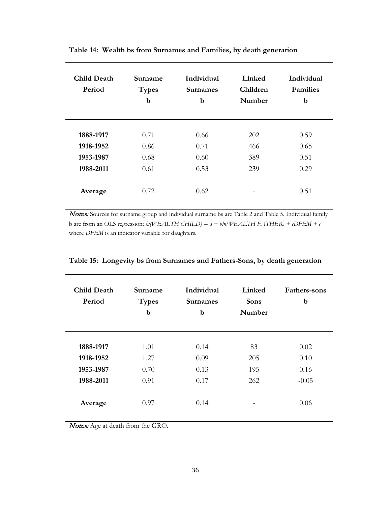| <b>Child Death</b><br>Period | Surname<br><b>Types</b><br>$\mathbf b$ | <b>Individual</b><br><b>Surnames</b><br>b | Linked<br><b>Children</b><br>Number | <b>Individual</b><br><b>Families</b><br>b |
|------------------------------|----------------------------------------|-------------------------------------------|-------------------------------------|-------------------------------------------|
|                              |                                        |                                           |                                     |                                           |
| 1888-1917                    | 0.71                                   | 0.66                                      | 202                                 | 0.59                                      |
| 1918-1952                    | 0.86                                   | 0.71                                      | 466                                 | 0.65                                      |
| 1953-1987                    | 0.68                                   | 0.60                                      | 389                                 | 0.51                                      |
| 1988-2011                    | 0.61                                   | 0.53                                      | 239                                 | 0.29                                      |
| Average                      | 0.72                                   | 0.62                                      |                                     | 0.51                                      |

**Table 14: Wealth bs from Surnames and Families, by death generation**

Notes: Sources for surname group and individual surname bs are Table 2 and Table 5. Individual family b are from an OLS regression; *ln(WEALTH CHILD) = a + bln(WEALTH FATHER) + cDFEM + e* where *DFEM* is an indicator variable for daughters.

| <b>Child Death</b><br>Period | Surname<br><b>Types</b><br>b | Individual<br><b>Surnames</b><br>$\mathbf b$ | Linked<br><b>Sons</b><br>Number | Fathers-sons<br>b |
|------------------------------|------------------------------|----------------------------------------------|---------------------------------|-------------------|
| 1888-1917                    | 1.01                         | 0.14                                         | 83                              | 0.02              |
| 1918-1952                    | 1.27                         | 0.09                                         | 205                             | 0.10              |
| 1953-1987                    | 0.70                         | 0.13                                         | 195                             | 0.16              |
| 1988-2011                    | 0.91                         | 0.17                                         | 262                             | $-0.05$           |
|                              |                              |                                              |                                 |                   |
| Average                      | 0.97                         | 0.14                                         |                                 | 0.06              |

**Table 15: Longevity bs from Surnames and Fathers-Sons, by death generation**

Notes*:* Age at death from the GRO.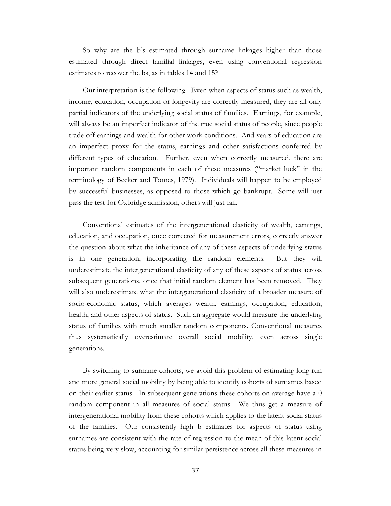So why are the b's estimated through surname linkages higher than those estimated through direct familial linkages, even using conventional regression estimates to recover the bs, as in tables 14 and 15?

Our interpretation is the following. Even when aspects of status such as wealth, income, education, occupation or longevity are correctly measured, they are all only partial indicators of the underlying social status of families. Earnings, for example, will always be an imperfect indicator of the true social status of people, since people trade off earnings and wealth for other work conditions. And years of education are an imperfect proxy for the status, earnings and other satisfactions conferred by different types of education. Further, even when correctly measured, there are important random components in each of these measures ("market luck" in the terminology of Becker and Tomes, 1979). Individuals will happen to be employed by successful businesses, as opposed to those which go bankrupt. Some will just pass the test for Oxbridge admission, others will just fail.

Conventional estimates of the intergenerational elasticity of wealth, earnings, education, and occupation, once corrected for measurement errors, correctly answer the question about what the inheritance of any of these aspects of underlying status is in one generation, incorporating the random elements. But they will underestimate the intergenerational elasticity of any of these aspects of status across subsequent generations, once that initial random element has been removed. They will also underestimate what the intergenerational elasticity of a broader measure of socio-economic status, which averages wealth, earnings, occupation, education, health, and other aspects of status. Such an aggregate would measure the underlying status of families with much smaller random components. Conventional measures thus systematically overestimate overall social mobility, even across single generations.

<span id="page-36-1"></span><span id="page-36-0"></span>By switching to surname cohorts, we avoid this problem of estimating long run and more general social mobility by being able to identify cohorts of surnames based on their earlier status. In subsequent generations these cohorts on average have a 0 random component in all measures of social status. We thus get a measure of intergenerational mobility from these cohorts which applies to the latent social status of the families. Our consistently high b estimates for aspects of status using surnames are consistent with the rate of regression to the mean of this latent social status being very slow, accounting for similar persistence across all these measures in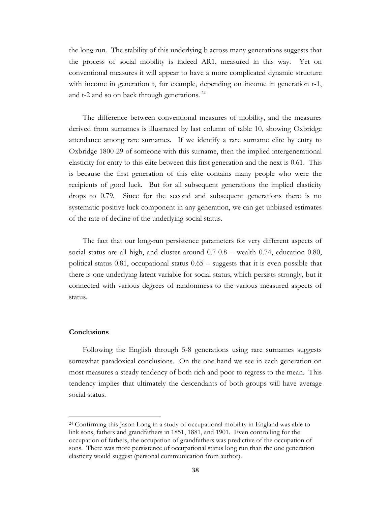the long run. The stability of this underlying b across many generations suggests that the process of social mobility is indeed AR1, measured in this way. Yet on conventional measures it will appear to have a more complicated dynamic structure with income in generation t, for example, depending on income in generation t-1, and t-2 and so on back through generations.<sup>[24](#page-41-0)</sup>

The difference between conventional measures of mobility, and the measures derived from surnames is illustrated by last column of table 10, showing Oxbridge attendance among rare surnames. If we identify a rare surname elite by entry to Oxbridge 1800-29 of someone with this surname, then the implied intergenerational elasticity for entry to this elite between this first generation and the next is 0.61. This is because the first generation of this elite contains many people who were the recipients of good luck. But for all subsequent generations the implied elasticity drops to 0.79. Since for the second and subsequent generations there is no systematic positive luck component in any generation, we can get unbiased estimates of the rate of decline of the underlying social status.

The fact that our long-run persistence parameters for very different aspects of social status are all high, and cluster around 0.7-0.8 – wealth 0.74, education 0.80, political status 0.81, occupational status 0.65 – suggests that it is even possible that there is one underlying latent variable for social status, which persists strongly, but it connected with various degrees of randomness to the various measured aspects of status.

#### **Conclusions**

 $\overline{\phantom{a}}$ 

Following the English through 5-8 generations using rare surnames suggests somewhat paradoxical conclusions. On the one hand we see in each generation on most measures a steady tendency of both rich and poor to regress to the mean. This tendency implies that ultimately the descendants of both groups will have average social status.

<sup>24</sup> Confirming this Jason Long in a study of occupational mobility in England was able to link sons, fathers and grandfathers in 1851, 1881, and 1901. Even controlling for the occupation of fathers, the occupation of grandfathers was predictive of the occupation of sons. There was more persistence of occupational status long run than the one generation elasticity would suggest (personal communication from author).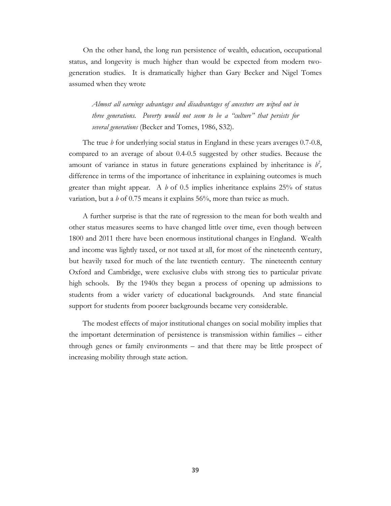On the other hand, the long ru[n](#page-43-0) persistence of wealth, education, occupational status, and longevity is much higher than would be expected from modern twogeneration studies. It is dramatically higher than Gary Becker and Nigel Tomes assumed when they wrote

*Almost all earnings advantages and disadvantages of ancestors are wiped out in three generations. Poverty would not seem to be a "culture" that persists for several generations* (Becker and Tomes, 1986, S32).

The true *b* for underlying social status in England in these years averages 0.7-0.8, compared to an average of about 0.4-0.5 suggested by other studies. Because the amount of variance in status in future generations explained by inheritance is  $b^2$ , difference in terms of the importance of inheritance in explaining outcomes is much greater than might appear. A *b* of 0.5 implies inheritance explains 25% of status variation, but a *b* of 0.75 means it explains 56%, more than twice as much.

A further surprise is that the rate of regression to the mean for both wealth and other status measures seems to have changed little over time, even though between 1800 and 2011 there have been enormous institutional changes in England. Wealth and income was lightly taxed, or not taxed at all, for most of the nineteenth century, but heavily taxed for much of the late twentieth century. The nineteenth century Oxford and Cambridge, were exclusive clubs with strong ties to particular private high schools. By the 1940s they began a process of opening up admissions to students from a wider variety of educational backgrounds. And state financial support for students from poorer backgrounds became very considerable.

The modest effects of major institutional changes on social mobility implies that the important determination of persistence is transmission within families – either through genes or family environments – and that there may be little prospect of increasing mobility through state action.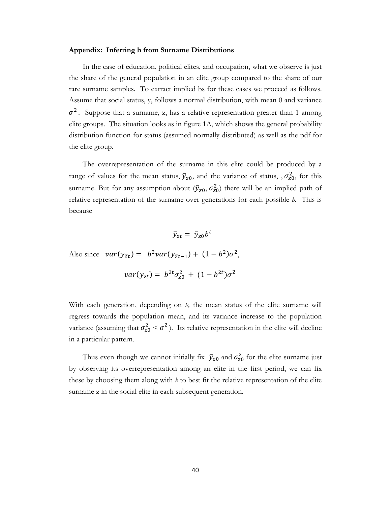#### **Appendix: Inferring b from Surname Distributions**

In the case of education, political elites, and occupation, what we observe is just the share of the general population in an elite group compared to the share of our rare surname samples. To extract implied bs for these cases we proceed as follows. Assume that social status, y, follows a normal distribution, with mean 0 and variance  $\sigma^2$ . Suppose that a surname, z, has a relative representation greater than 1 among elite groups. The situation looks as in figure 1A, which shows the general probability distribution function for status (assumed normally distributed) as well as the pdf for the elite group.

The overrepresentation of the surname in this elite could be produced by a range of values for the mean status,  $\bar{y}_{z0}$ , and the variance of status, ,  $\sigma_{z0}^2$ , for this surname. But for any assumption about  $(\bar{y}_{z0}, \sigma_{z0}^2)$  there will be an implied path of relative representation of the surname over generations for each possible *b.* This is because

$$
\bar{y}_{zt} = \bar{y}_{z0}b^t
$$

Also since  $var(y_{Zt}) = b^2var(y_{Zt-1}) + (1 - b^2)\sigma^2$ ,

$$
var(y_{zt}) = b^{2t} \sigma_{z0}^2 + (1 - b^{2t}) \sigma^2
$$

With each generation, depending on *b,* the mean status of the elite surname will regress towards the population mean, and its variance increase to the population variance (assuming that  $\sigma_{z_0}^2 < \sigma^2$ ). Its relative representation in the elite will decline in a particular pattern.

Thus even though we cannot initially fix  $\bar{y}_{z0}$  and  $\sigma_{z0}^2$  for the elite surname just by observing its overrepresentation among an elite in the first period, we can fix these by choosing them along with  $b$  to best fit the relative representation of the elite surname z in the social elite in each subsequent generation.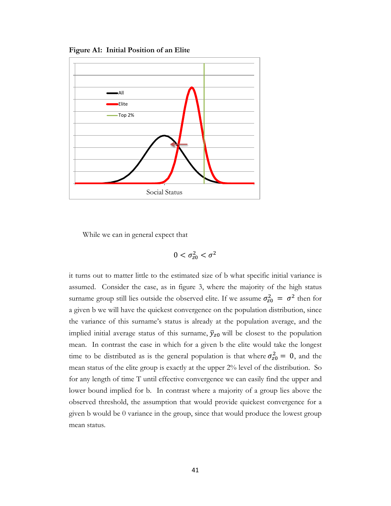



While we can in general expect that

$$
0<\sigma_{z0}^2<\sigma^2
$$

it turns out to matter little to the estimated size of b what specific initial variance is assumed. Consider the case, as in figure 3, where the majority of the high status surname group still lies outside the observed elite. If we assume  $\sigma_{z0}^2 = \sigma^2$  then for a given b we will have the quickest convergence on the population distribution, since the variance of this surname's status is already at the population average, and the implied initial average status of this surname,  $\bar{y}_{z0}$  will be closest to the population mean. In contrast the case in which for a given b the elite would take the longest time to be distributed as is the general population is that where  $\sigma_{z_0}^2 = 0$ , and the mean status of the elite group is exactly at the upper 2% level of the distribution. So for any length of time T until effective convergence we can easily find the upper and lower bound implied for b. In contrast where a majority of a group lies above the observed threshold, the assumption that would provide quickest convergence for a given b would be 0 variance in the group, since that would produce the lowest group mean status.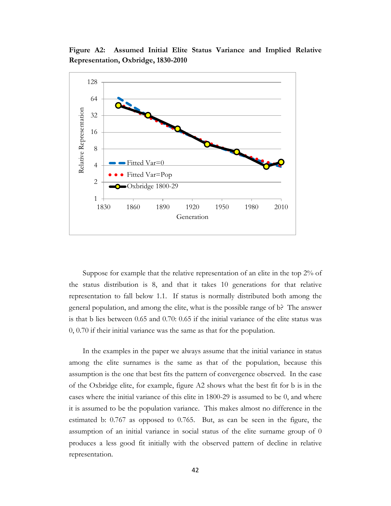**Figure A2: Assumed Initial Elite Status Variance and Implied Relative Representation, Oxbridge, 1830-2010**



Suppose for example that the relative representation of an elite in the top 2% of the status distribution is 8, and that it takes 10 generations for that relative representation to fall below 1.1. If status is normally distributed both among the general population, and among the elite, what is the possible range of b? The answer is that b lies between 0.65 and 0.70: 0.65 if the initial variance of the elite status was 0, 0.70 if their initial variance was the same as that for the population.

<span id="page-41-0"></span>In the examples in the paper we always assume that the initial variance in status among the elite surnames is the same as that of the population, because this assumption is the one that best fits the pattern of convergence observed. In the case of the Oxbridge elite, for example, figure A2 shows what the best fit for b is in the cases where the initial variance of this elite in 1800-29 is assumed to be 0, and where it is assumed to be the population variance. This makes almost no difference in the estimated b: 0.767 as opposed to 0.765. But, as can be seen in the figure, the assumption of an initial variance in social status of the elite surname group of 0 produces a less good fit initially with the observed pattern of decline in relative representation.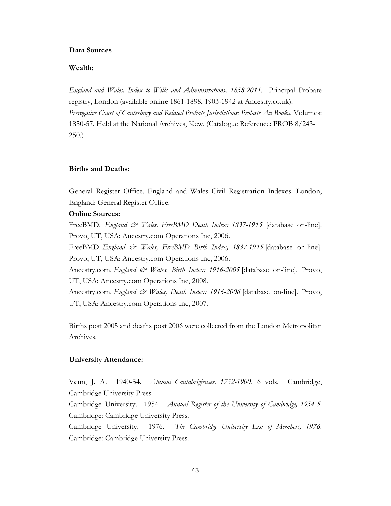#### **Data Sources**

# **Wealth:**

*England and Wales, Index to Wills and Administrations, 1858-2011.* Principal Probate registry, London (available online 1861-1898, 1903-1942 at Ancestry.co.uk). *Prerogative Court of Canterbury and Related Probate Jurisdictions: Probate Act Books*. Volumes: 1850-57. Held at the National Archives, Kew. (Catalogue Reference: PROB 8/243- 250.)

## **Births and Deaths:**

General Register Office. England and Wales Civil Registration Indexes. London, England: General Register Office.

## **Online Sources:**

FreeBMD. *England & Wales, FreeBMD Death Index: 1837-1915* [database on-line]. Provo, UT, USA: Ancestry.com Operations Inc, 2006.

FreeBMD. *England & Wales, FreeBMD Birth Index, 1837-1915* [database on-line]. Provo, UT, USA: Ancestry.com Operations Inc, 2006.

Ancestry.com. *England & Wales, Birth Index: 1916-2005* [database on-line]. Provo, UT, USA: Ancestry.com Operations Inc, 2008.

Ancestry.com. *England & Wales, Death Index: 1916-2006* [database on-line]. Provo, UT, USA: Ancestry.com Operations Inc, 2007.

Births post 2005 and deaths post 2006 were collected from the London Metropolitan Archives.

## **University Attendance:**

Venn, J. A. 1940-54. *Alumni Cantabrigienses, 1752-1900*, 6 vols. Cambridge, Cambridge University Press.

Cambridge University. 1954.*Annual Register of the University of Cambridge, 1954-5.*  Cambridge: Cambridge University Press.

Cambridge University. 1976.*The Cambridge University List of Members, 1976.*  Cambridge: Cambridge University Press.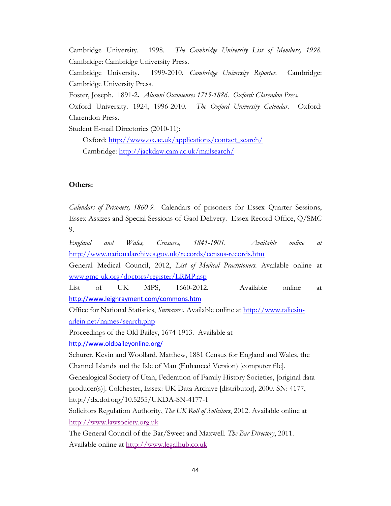Cambridge University. 1998.*The Cambridge University List of Members, 1998.*  Cambridge: Cambridge University Press. Cambridge University. 1999-2010. *Cambridge University Reporter.* Cambridge: Cambridge University Press. Foster, Joseph. 1891-2**.** *Alumni Oxonienses 1715-1886. Oxford: Clarendon Press.* Oxford University. 1924, 1996-2010. *The Oxford University Calendar.* Oxford: Clarendon Press.

Student E-mail Directories (2010-11):

Oxford: [http://www.ox.ac.uk/applications/contact\\_search/](http://www.ox.ac.uk/applications/contact_search/) Cambridge:<http://jackdaw.cam.ac.uk/mailsearch/>

# **Others:**

*Calendars of Prisoners, 1860-9.* Calendars of prisoners for Essex Quarter Sessions, Essex Assizes and Special Sessions of Gaol Delivery. Essex Record Office, Q/SMC 9.

*England and Wales, Censuses, 1841-1901. Available online at*  <http://www.nationalarchives.gov.uk/records/census-records.htm>

General Medical Council, 2012, *List of Medical Practitioners.* Available online at [www.gmc-uk.org/doctors/register/LRMP.asp](http://www.gmc-uk.org/doctors/register/LRMP.asp)

List of UK MPS, 1660-2012. Available online at <http://www.leighrayment.com/commons.htm>

Office for National Statistics, *Surnames*. Available online at [http://www.taliesin](http://www.taliesin-arlein.net/names/search.php)[arlein.net/names/search.php](http://www.taliesin-arlein.net/names/search.php)

Proceedings of the Old Bailey, 1674-1913. Available at <http://www.oldbaileyonline.org/>

Schurer, Kevin and Woollard, Matthew, 1881 Census for England and Wales, the Channel Islands and the Isle of Man (Enhanced Version) [computer file].

Genealogical Society of Utah, Federation of Family History Societies, [original data producer(s)]. Colchester, Essex: UK Data Archive [distributor], 2000. SN: 4177, http://dx.doi.org/10.5255/UKDA-SN-4177-1

Solicitors Regulation Authority, *The UK Roll of Solicitors*, 2012. Available online at [http://www.lawsociety.org.uk](http://www.lawsociety.org.uk/choosingandusing/findasolicitor/action=solicitorsearch.law)

<span id="page-43-0"></span>The General Council of the Bar/Sweet and Maxwell. *The Bar Directory*, 2011. Available online at [http://www.legalhub.co.uk](http://www.legalhub.co.uk/)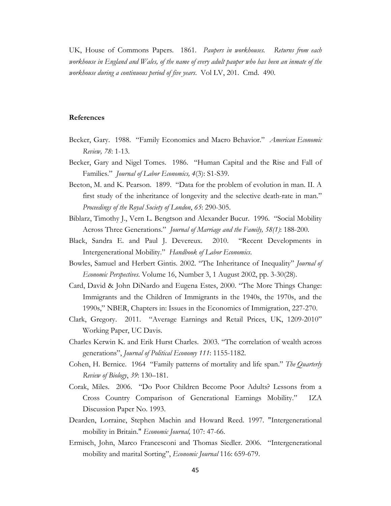UK, House of Commons Papers. 1861. *Paupers in workhouses. Returns from each workhouse in England and Wales, of the name of every adult pauper who has been an inmate of the workhouse during a continuous period of five years*. Vol LV, 201. Cmd. 490.

#### **References**

- Becker, Gary. 1988. "Family Economics and Macro Behavior." *American Economic Review, 78*: 1-13.
- Becker, Gary and Nigel Tomes. 1986. "Human Capital and the Rise and Fall of Families." *Journal of Labor Economics, 4*(3): S1-S39.
- Beeton, M. and K. Pearson. 1899. "Data for the problem of evolution in man. II. A first study of the inheritance of longevity and the selective death-rate in man." *Proceedings of the Royal Society of London*, *65*: 290-305.
- Biblarz, Timothy J., Vern L. Bengtson and Alexander Bucur. 1996. "Social Mobility Across Three Generations." *Journal of Marriage and the Family, 58(1)*: 188-200.
- Black, Sandra E. and Paul J. Devereux. 2010. "Recent Developments in Intergenerational Mobility." *Handbook of Labor Economics*.
- Bowles, Samuel and Herbert Gintis. 2002. "The Inheritance of Inequality" *Journal of Economic Perspectives*. Volume 16, Number 3, 1 August 2002, pp. 3-30(28).
- Card, David & John DiNardo and Eugena Estes, 2000. "The More Things Change: Immigrants and the Children of Immigrants in the 1940s, the 1970s, and the 1990s," NBER, Chapters in: Issues in the Economics of Immigration, 227-270.
- Clark, Gregory. 2011. "Average Earnings and Retail Prices, UK, 1209-2010" Working Paper, UC Davis.
- Charles Kerwin K. and Erik Hurst Charles. 2003. "The correlation of wealth across generations", *Journal of Political Economy 111*: 1155-1182.
- Cohen, H. Bernice. 1964 "Family patterns of mortality and life span." *The Quarterly Review of Biology*, *39*: 130–181.
- Corak, Miles. 2006. "Do Poor Children Become Poor Adults? Lessons from a Cross Country Comparison of Generational Earnings Mobility." IZA Discussion Paper No. 1993.
- Dearden, Lorraine, Stephen Machin and Howard Reed. 1997. "Intergenerational mobility in Britain." *Economic Journal,* 107: 47-66.
- Ermisch, John, Marco Francesconi and Thomas Siedler. 2006. "Intergenerational mobility and marital Sorting", *Economic Journal* 116: 659-679.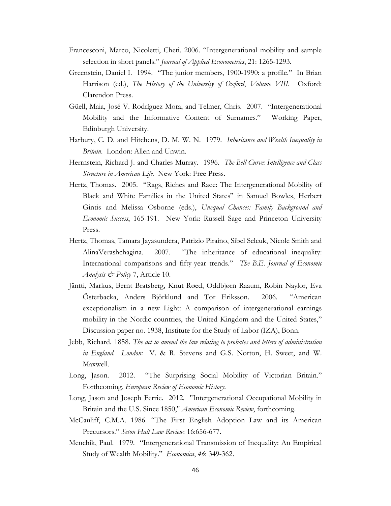- Francesconi, Marco, Nicoletti, Cheti. 2006. "Intergenerational mobility and sample selection in short panels." *Journal of Applied Econometrics*, 21: 1265-1293.
- Greenstein, Daniel I. 1994. "The junior members, 1900-1990: a profile." In Brian Harrison (ed.), *The History of the University of Oxford*, *Volume VIII*. Oxford: Clarendon Press.
- Güell, Maia, José V. Rodríguez Mora, and Telmer, Chris. 2007. "Intergenerational Mobility and the Informative Content of Surnames." Working Paper, Edinburgh University.
- Harbury, C. D. and Hitchens, D. M. W. N. 1979. *Inheritance and Wealth Inequality in Britain.* London: Allen and Unwin.
- Herrnstein, Richard J. and Charles Murray. 1996. *The Bell Curve: Intelligence and Class Structure in American Life.* New York: Free Press.
- Hertz, Thomas. 2005. "Rags, Riches and Race: The Intergenerational Mobility of Black and White Families in the United States" in Samuel Bowles, Herbert Gintis and Melissa Osborne (eds.), *Unequal Chances: Family Background and Economic Success*, 165-191. New York: Russell Sage and Princeton University Press.
- Hertz, Thomas, Tamara Jayasundera, Patrizio Piraino, Sibel Selcuk, Nicole Smith and AlinaVerashchagina. 2007. "The inheritance of educational inequality: International comparisons and fifty-year trends." *The B.E. Journal of Economic Analysis & Policy* 7, Article 10.
- Jäntti, Markus, Bernt Bratsberg, Knut Røed, Oddbjørn Raaum, Robin Naylor, Eva Österbacka, Anders Björklund and Tor Eriksson. 2006. "American exceptionalism in a new Light: A comparison of intergenerational earnings mobility in the Nordic countries, the United Kingdom and the United States," Discussion paper no. 1938, Institute for the Study of Labor (IZA), Bonn.
- Jebb, Richard. 1858. *The act to amend the law relating to probates and letters of administration in England. London:* V. & R. Stevens and G.S. Norton, H. Sweet, and W. Maxwell.
- Long, Jason. 2012. "The Surprising Social Mobility of Victorian Britain." Forthcoming, *European Review of Economic History.*
- Long, Jason and Joseph Ferrie. 2012. "Intergenerational Occupational Mobility in Britain and the U.S. Since 1850," *American Economic Review*, forthcoming.
- McCauliff, C.M.A. 1986. "The First English Adoption Law and its American Precursors." *Seton Hall Law Review*: 16:656-677.
- Menchik, Paul. 1979. "Intergenerational Transmission of Inequality: An Empirical Study of Wealth Mobility." *Economica*, *46*: 349-362.